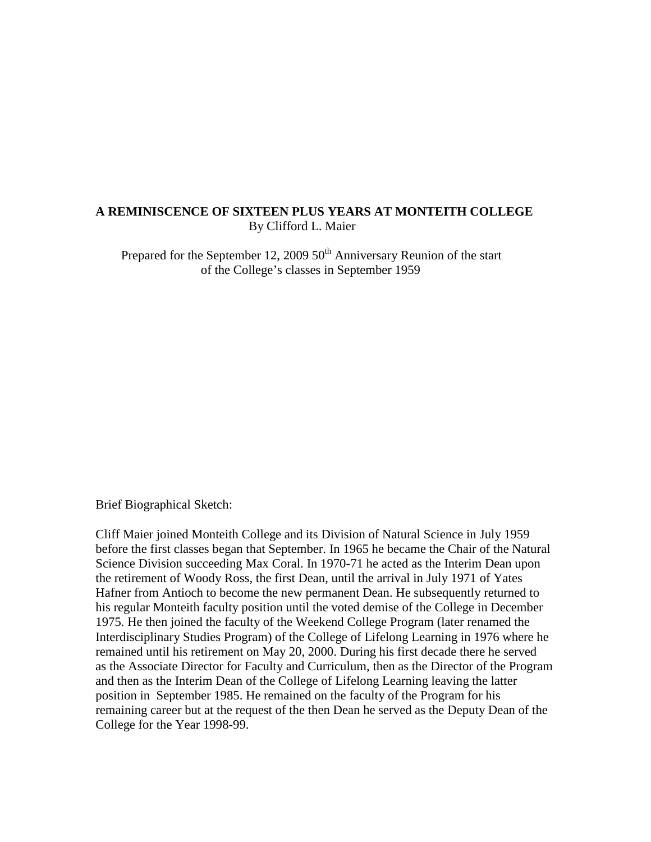#### **A REMINISCENCE OF SIXTEEN PLUS YEARS AT MONTEITH COLLEGE** By Clifford L. Maier

Prepared for the September 12, 2009  $50<sup>th</sup>$  Anniversary Reunion of the start of the College's classes in September 1959

Brief Biographical Sketch:

Cliff Maier joined Monteith College and its Division of Natural Science in July 1959 before the first classes began that September. In 1965 he became the Chair of the Natural Science Division succeeding Max Coral. In 1970-71 he acted as the Interim Dean upon the retirement of Woody Ross, the first Dean, until the arrival in July 1971 of Yates Hafner from Antioch to become the new permanent Dean. He subsequently returned to his regular Monteith faculty position until the voted demise of the College in December 1975. He then joined the faculty of the Weekend College Program (later renamed the Interdisciplinary Studies Program) of the College of Lifelong Learning in 1976 where he remained until his retirement on May 20, 2000. During his first decade there he served as the Associate Director for Faculty and Curriculum, then as the Director of the Program and then as the Interim Dean of the College of Lifelong Learning leaving the latter position in September 1985. He remained on the faculty of the Program for his remaining career but at the request of the then Dean he served as the Deputy Dean of the College for the Year 1998-99.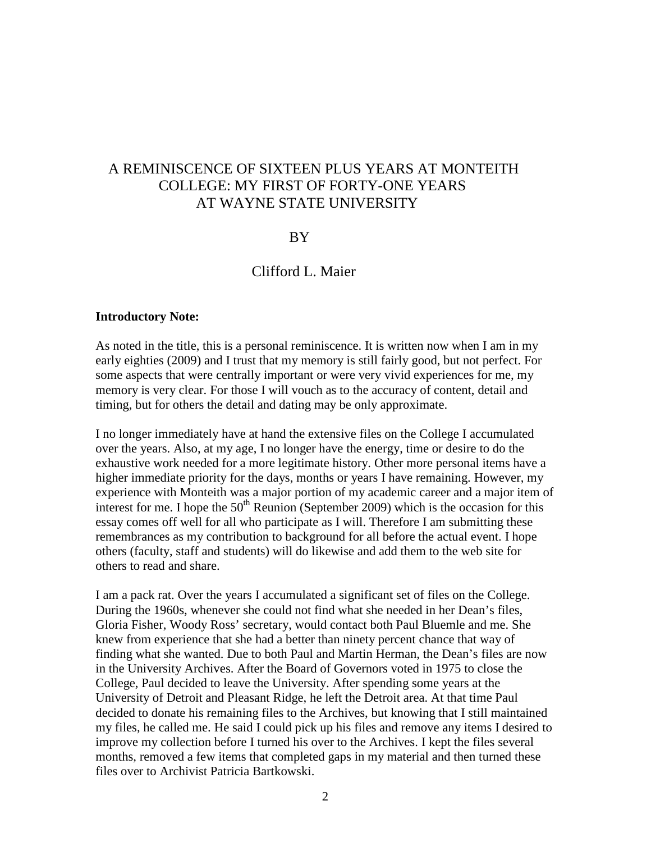# A REMINISCENCE OF SIXTEEN PLUS YEARS AT MONTEITH COLLEGE: MY FIRST OF FORTY-ONE YEARS AT WAYNE STATE UNIVERSITY

# BY

# Clifford L. Maier

#### **Introductory Note:**

As noted in the title, this is a personal reminiscence. It is written now when I am in my early eighties (2009) and I trust that my memory is still fairly good, but not perfect. For some aspects that were centrally important or were very vivid experiences for me, my memory is very clear. For those I will vouch as to the accuracy of content, detail and timing, but for others the detail and dating may be only approximate.

I no longer immediately have at hand the extensive files on the College I accumulated over the years. Also, at my age, I no longer have the energy, time or desire to do the exhaustive work needed for a more legitimate history. Other more personal items have a higher immediate priority for the days, months or years I have remaining. However, my experience with Monteith was a major portion of my academic career and a major item of interest for me. I hope the  $50<sup>th</sup>$  Reunion (September 2009) which is the occasion for this essay comes off well for all who participate as I will. Therefore I am submitting these remembrances as my contribution to background for all before the actual event. I hope others (faculty, staff and students) will do likewise and add them to the web site for others to read and share.

I am a pack rat. Over the years I accumulated a significant set of files on the College. During the 1960s, whenever she could not find what she needed in her Dean's files, Gloria Fisher, Woody Ross' secretary, would contact both Paul Bluemle and me. She knew from experience that she had a better than ninety percent chance that way of finding what she wanted. Due to both Paul and Martin Herman, the Dean's files are now in the University Archives. After the Board of Governors voted in 1975 to close the College, Paul decided to leave the University. After spending some years at the University of Detroit and Pleasant Ridge, he left the Detroit area. At that time Paul decided to donate his remaining files to the Archives, but knowing that I still maintained my files, he called me. He said I could pick up his files and remove any items I desired to improve my collection before I turned his over to the Archives. I kept the files several months, removed a few items that completed gaps in my material and then turned these files over to Archivist Patricia Bartkowski.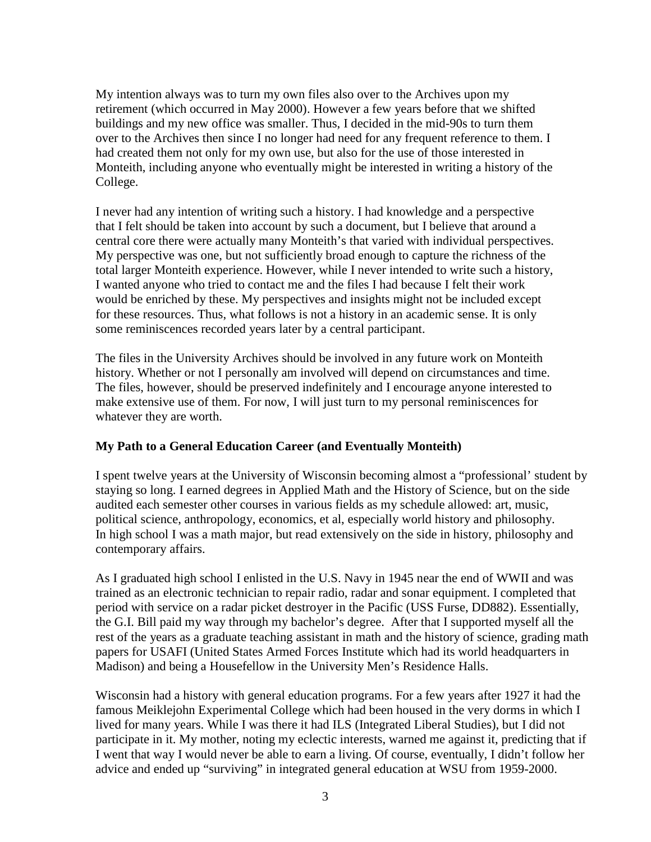My intention always was to turn my own files also over to the Archives upon my retirement (which occurred in May 2000). However a few years before that we shifted buildings and my new office was smaller. Thus, I decided in the mid-90s to turn them over to the Archives then since I no longer had need for any frequent reference to them. I had created them not only for my own use, but also for the use of those interested in Monteith, including anyone who eventually might be interested in writing a history of the College.

I never had any intention of writing such a history. I had knowledge and a perspective that I felt should be taken into account by such a document, but I believe that around a central core there were actually many Monteith's that varied with individual perspectives. My perspective was one, but not sufficiently broad enough to capture the richness of the total larger Monteith experience. However, while I never intended to write such a history, I wanted anyone who tried to contact me and the files I had because I felt their work would be enriched by these. My perspectives and insights might not be included except for these resources. Thus, what follows is not a history in an academic sense. It is only some reminiscences recorded years later by a central participant.

The files in the University Archives should be involved in any future work on Monteith history. Whether or not I personally am involved will depend on circumstances and time. The files, however, should be preserved indefinitely and I encourage anyone interested to make extensive use of them. For now, I will just turn to my personal reminiscences for whatever they are worth.

# **My Path to a General Education Career (and Eventually Monteith)**

I spent twelve years at the University of Wisconsin becoming almost a "professional' student by staying so long. I earned degrees in Applied Math and the History of Science, but on the side audited each semester other courses in various fields as my schedule allowed: art, music, political science, anthropology, economics, et al, especially world history and philosophy. In high school I was a math major, but read extensively on the side in history, philosophy and contemporary affairs.

As I graduated high school I enlisted in the U.S. Navy in 1945 near the end of WWII and was trained as an electronic technician to repair radio, radar and sonar equipment. I completed that period with service on a radar picket destroyer in the Pacific (USS Furse, DD882). Essentially, the G.I. Bill paid my way through my bachelor's degree. After that I supported myself all the rest of the years as a graduate teaching assistant in math and the history of science, grading math papers for USAFI (United States Armed Forces Institute which had its world headquarters in Madison) and being a Housefellow in the University Men's Residence Halls.

Wisconsin had a history with general education programs. For a few years after 1927 it had the famous Meiklejohn Experimental College which had been housed in the very dorms in which I lived for many years. While I was there it had ILS (Integrated Liberal Studies), but I did not participate in it. My mother, noting my eclectic interests, warned me against it, predicting that if I went that way I would never be able to earn a living. Of course, eventually, I didn't follow her advice and ended up "surviving" in integrated general education at WSU from 1959-2000.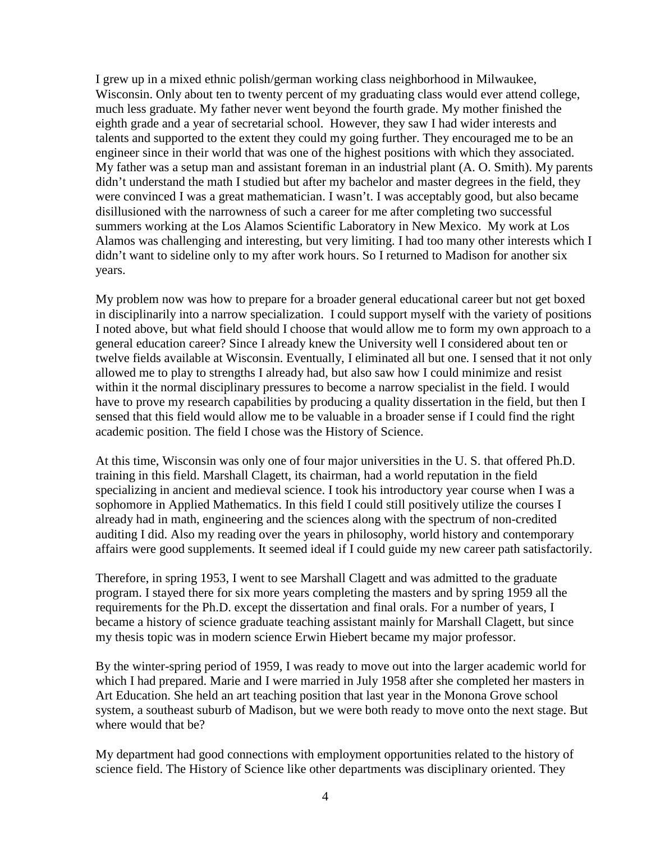I grew up in a mixed ethnic polish/german working class neighborhood in Milwaukee, Wisconsin. Only about ten to twenty percent of my graduating class would ever attend college, much less graduate. My father never went beyond the fourth grade. My mother finished the eighth grade and a year of secretarial school. However, they saw I had wider interests and talents and supported to the extent they could my going further. They encouraged me to be an engineer since in their world that was one of the highest positions with which they associated. My father was a setup man and assistant foreman in an industrial plant (A. O. Smith). My parents didn't understand the math I studied but after my bachelor and master degrees in the field, they were convinced I was a great mathematician. I wasn't. I was acceptably good, but also became disillusioned with the narrowness of such a career for me after completing two successful summers working at the Los Alamos Scientific Laboratory in New Mexico. My work at Los Alamos was challenging and interesting, but very limiting. I had too many other interests which I didn't want to sideline only to my after work hours. So I returned to Madison for another six years.

My problem now was how to prepare for a broader general educational career but not get boxed in disciplinarily into a narrow specialization. I could support myself with the variety of positions I noted above, but what field should I choose that would allow me to form my own approach to a general education career? Since I already knew the University well I considered about ten or twelve fields available at Wisconsin. Eventually, I eliminated all but one. I sensed that it not only allowed me to play to strengths I already had, but also saw how I could minimize and resist within it the normal disciplinary pressures to become a narrow specialist in the field. I would have to prove my research capabilities by producing a quality dissertation in the field, but then I sensed that this field would allow me to be valuable in a broader sense if I could find the right academic position. The field I chose was the History of Science.

At this time, Wisconsin was only one of four major universities in the U. S. that offered Ph.D. training in this field. Marshall Clagett, its chairman, had a world reputation in the field specializing in ancient and medieval science. I took his introductory year course when I was a sophomore in Applied Mathematics. In this field I could still positively utilize the courses I already had in math, engineering and the sciences along with the spectrum of non-credited auditing I did. Also my reading over the years in philosophy, world history and contemporary affairs were good supplements. It seemed ideal if I could guide my new career path satisfactorily.

Therefore, in spring 1953, I went to see Marshall Clagett and was admitted to the graduate program. I stayed there for six more years completing the masters and by spring 1959 all the requirements for the Ph.D. except the dissertation and final orals. For a number of years, I became a history of science graduate teaching assistant mainly for Marshall Clagett, but since my thesis topic was in modern science Erwin Hiebert became my major professor.

By the winter-spring period of 1959, I was ready to move out into the larger academic world for which I had prepared. Marie and I were married in July 1958 after she completed her masters in Art Education. She held an art teaching position that last year in the Monona Grove school system, a southeast suburb of Madison, but we were both ready to move onto the next stage. But where would that be?

My department had good connections with employment opportunities related to the history of science field. The History of Science like other departments was disciplinary oriented. They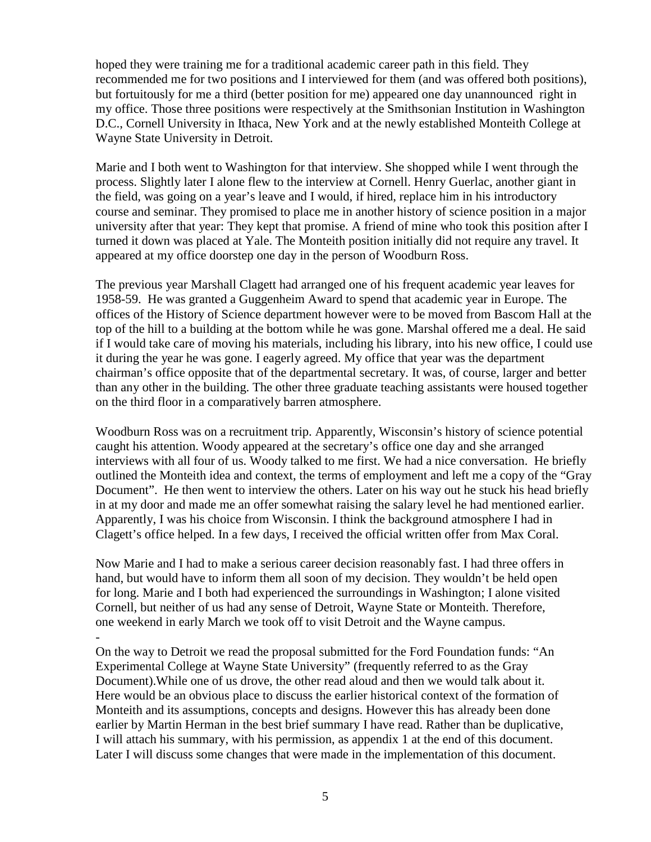hoped they were training me for a traditional academic career path in this field. They recommended me for two positions and I interviewed for them (and was offered both positions), but fortuitously for me a third (better position for me) appeared one day unannounced right in my office. Those three positions were respectively at the Smithsonian Institution in Washington D.C., Cornell University in Ithaca, New York and at the newly established Monteith College at Wayne State University in Detroit.

Marie and I both went to Washington for that interview. She shopped while I went through the process. Slightly later I alone flew to the interview at Cornell. Henry Guerlac, another giant in the field, was going on a year's leave and I would, if hired, replace him in his introductory course and seminar. They promised to place me in another history of science position in a major university after that year: They kept that promise. A friend of mine who took this position after I turned it down was placed at Yale. The Monteith position initially did not require any travel. It appeared at my office doorstep one day in the person of Woodburn Ross.

The previous year Marshall Clagett had arranged one of his frequent academic year leaves for 1958-59. He was granted a Guggenheim Award to spend that academic year in Europe. The offices of the History of Science department however were to be moved from Bascom Hall at the top of the hill to a building at the bottom while he was gone. Marshal offered me a deal. He said if I would take care of moving his materials, including his library, into his new office, I could use it during the year he was gone. I eagerly agreed. My office that year was the department chairman's office opposite that of the departmental secretary. It was, of course, larger and better than any other in the building. The other three graduate teaching assistants were housed together on the third floor in a comparatively barren atmosphere.

Woodburn Ross was on a recruitment trip. Apparently, Wisconsin's history of science potential caught his attention. Woody appeared at the secretary's office one day and she arranged interviews with all four of us. Woody talked to me first. We had a nice conversation. He briefly outlined the Monteith idea and context, the terms of employment and left me a copy of the "Gray Document". He then went to interview the others. Later on his way out he stuck his head briefly in at my door and made me an offer somewhat raising the salary level he had mentioned earlier. Apparently, I was his choice from Wisconsin. I think the background atmosphere I had in Clagett's office helped. In a few days, I received the official written offer from Max Coral.

Now Marie and I had to make a serious career decision reasonably fast. I had three offers in hand, but would have to inform them all soon of my decision. They wouldn't be held open for long. Marie and I both had experienced the surroundings in Washington; I alone visited Cornell, but neither of us had any sense of Detroit, Wayne State or Monteith. Therefore, one weekend in early March we took off to visit Detroit and the Wayne campus. -

On the way to Detroit we read the proposal submitted for the Ford Foundation funds: "An Experimental College at Wayne State University" (frequently referred to as the Gray Document).While one of us drove, the other read aloud and then we would talk about it. Here would be an obvious place to discuss the earlier historical context of the formation of Monteith and its assumptions, concepts and designs. However this has already been done earlier by Martin Herman in the best brief summary I have read. Rather than be duplicative, I will attach his summary, with his permission, as appendix 1 at the end of this document. Later I will discuss some changes that were made in the implementation of this document.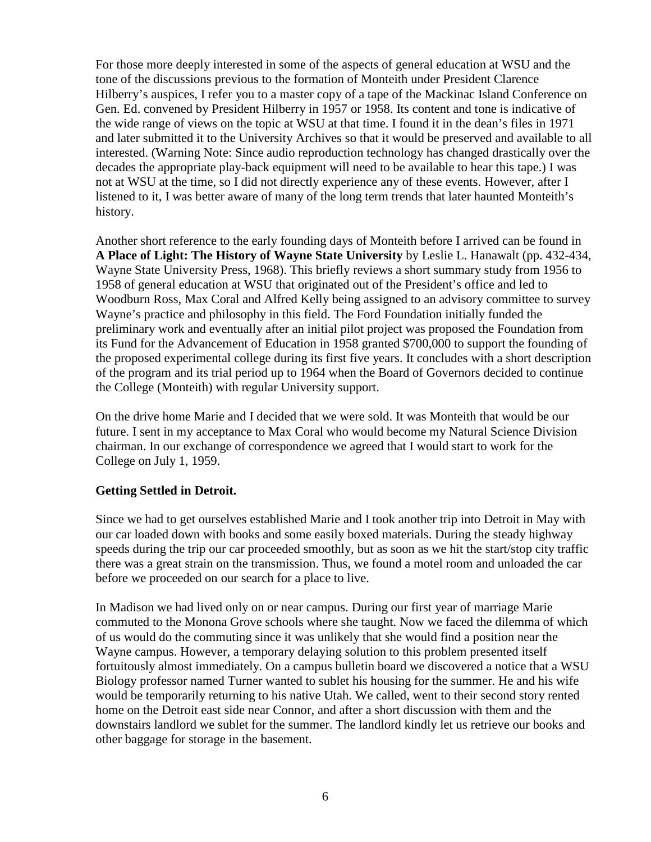For those more deeply interested in some of the aspects of general education at WSU and the tone of the discussions previous to the formation of Monteith under President Clarence Hilberry's auspices, I refer you to a master copy of a tape of the Mackinac Island Conference on Gen. Ed. convened by President Hilberry in 1957 or 1958. Its content and tone is indicative of the wide range of views on the topic at WSU at that time. I found it in the dean's files in 1971 and later submitted it to the University Archives so that it would be preserved and available to all interested. (Warning Note: Since audio reproduction technology has changed drastically over the decades the appropriate play-back equipment will need to be available to hear this tape.) I was not at WSU at the time, so I did not directly experience any of these events. However, after I listened to it, I was better aware of many of the long term trends that later haunted Monteith's history.

Another short reference to the early founding days of Monteith before I arrived can be found in **A Place of Light: The History of Wayne State University** by Leslie L. Hanawalt (pp. 432-434, Wayne State University Press, 1968). This briefly reviews a short summary study from 1956 to 1958 of general education at WSU that originated out of the President's office and led to Woodburn Ross, Max Coral and Alfred Kelly being assigned to an advisory committee to survey Wayne's practice and philosophy in this field. The Ford Foundation initially funded the preliminary work and eventually after an initial pilot project was proposed the Foundation from its Fund for the Advancement of Education in 1958 granted \$700,000 to support the founding of the proposed experimental college during its first five years. It concludes with a short description of the program and its trial period up to 1964 when the Board of Governors decided to continue the College (Monteith) with regular University support.

On the drive home Marie and I decided that we were sold. It was Monteith that would be our future. I sent in my acceptance to Max Coral who would become my Natural Science Division chairman. In our exchange of correspondence we agreed that I would start to work for the College on July 1, 1959.

# **Getting Settled in Detroit.**

Since we had to get ourselves established Marie and I took another trip into Detroit in May with our car loaded down with books and some easily boxed materials. During the steady highway speeds during the trip our car proceeded smoothly, but as soon as we hit the start/stop city traffic there was a great strain on the transmission. Thus, we found a motel room and unloaded the car before we proceeded on our search for a place to live.

In Madison we had lived only on or near campus. During our first year of marriage Marie commuted to the Monona Grove schools where she taught. Now we faced the dilemma of which of us would do the commuting since it was unlikely that she would find a position near the Wayne campus. However, a temporary delaying solution to this problem presented itself fortuitously almost immediately. On a campus bulletin board we discovered a notice that a WSU Biology professor named Turner wanted to sublet his housing for the summer. He and his wife would be temporarily returning to his native Utah. We called, went to their second story rented home on the Detroit east side near Connor, and after a short discussion with them and the downstairs landlord we sublet for the summer. The landlord kindly let us retrieve our books and other baggage for storage in the basement.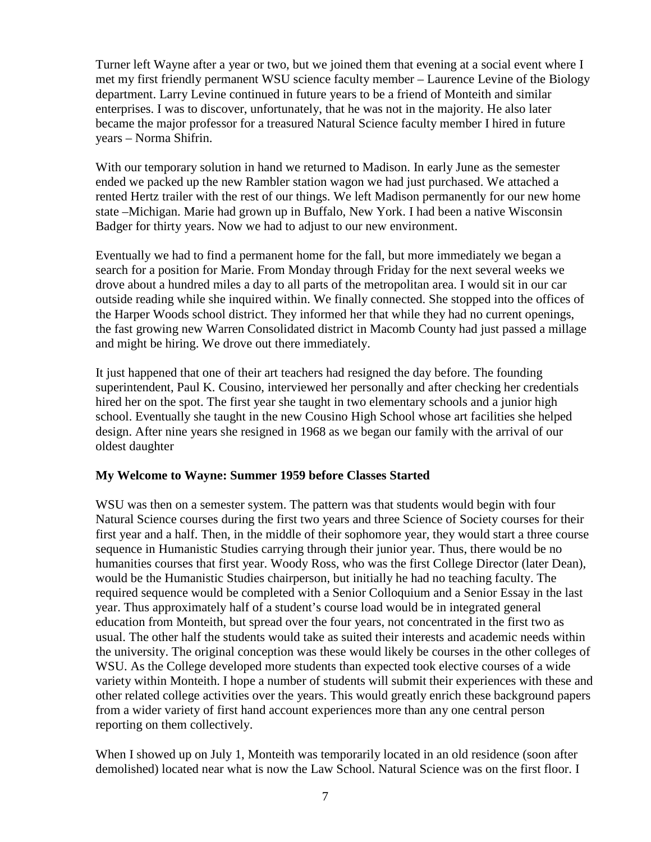Turner left Wayne after a year or two, but we joined them that evening at a social event where I met my first friendly permanent WSU science faculty member – Laurence Levine of the Biology department. Larry Levine continued in future years to be a friend of Monteith and similar enterprises. I was to discover, unfortunately, that he was not in the majority. He also later became the major professor for a treasured Natural Science faculty member I hired in future years – Norma Shifrin.

With our temporary solution in hand we returned to Madison. In early June as the semester ended we packed up the new Rambler station wagon we had just purchased. We attached a rented Hertz trailer with the rest of our things. We left Madison permanently for our new home state –Michigan. Marie had grown up in Buffalo, New York. I had been a native Wisconsin Badger for thirty years. Now we had to adjust to our new environment.

Eventually we had to find a permanent home for the fall, but more immediately we began a search for a position for Marie. From Monday through Friday for the next several weeks we drove about a hundred miles a day to all parts of the metropolitan area. I would sit in our car outside reading while she inquired within. We finally connected. She stopped into the offices of the Harper Woods school district. They informed her that while they had no current openings, the fast growing new Warren Consolidated district in Macomb County had just passed a millage and might be hiring. We drove out there immediately.

It just happened that one of their art teachers had resigned the day before. The founding superintendent, Paul K. Cousino, interviewed her personally and after checking her credentials hired her on the spot. The first year she taught in two elementary schools and a junior high school. Eventually she taught in the new Cousino High School whose art facilities she helped design. After nine years she resigned in 1968 as we began our family with the arrival of our oldest daughter

# **My Welcome to Wayne: Summer 1959 before Classes Started**

WSU was then on a semester system. The pattern was that students would begin with four Natural Science courses during the first two years and three Science of Society courses for their first year and a half. Then, in the middle of their sophomore year, they would start a three course sequence in Humanistic Studies carrying through their junior year. Thus, there would be no humanities courses that first year. Woody Ross, who was the first College Director (later Dean), would be the Humanistic Studies chairperson, but initially he had no teaching faculty. The required sequence would be completed with a Senior Colloquium and a Senior Essay in the last year. Thus approximately half of a student's course load would be in integrated general education from Monteith, but spread over the four years, not concentrated in the first two as usual. The other half the students would take as suited their interests and academic needs within the university. The original conception was these would likely be courses in the other colleges of WSU. As the College developed more students than expected took elective courses of a wide variety within Monteith. I hope a number of students will submit their experiences with these and other related college activities over the years. This would greatly enrich these background papers from a wider variety of first hand account experiences more than any one central person reporting on them collectively.

When I showed up on July 1, Monteith was temporarily located in an old residence (soon after demolished) located near what is now the Law School. Natural Science was on the first floor. I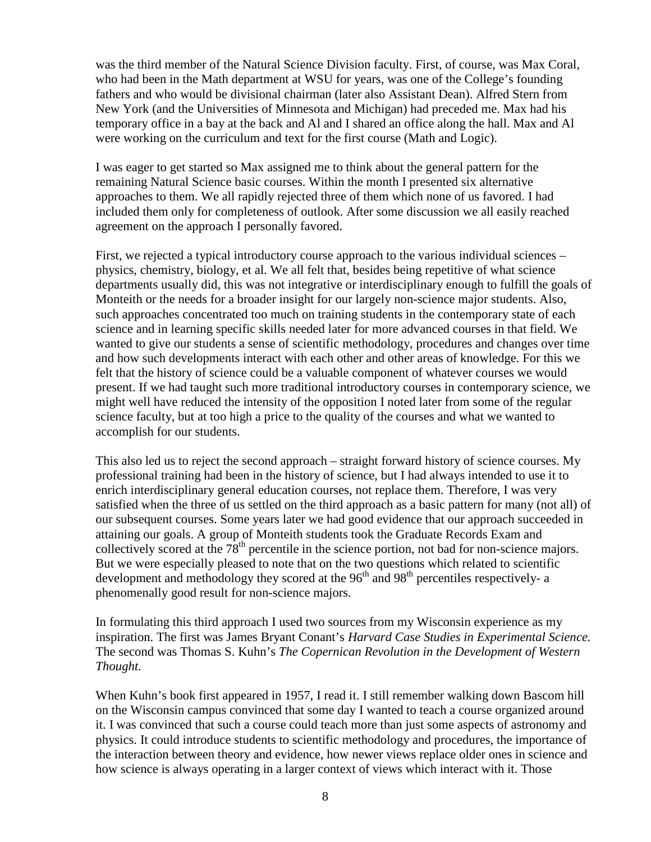was the third member of the Natural Science Division faculty. First, of course, was Max Coral, who had been in the Math department at WSU for years, was one of the College's founding fathers and who would be divisional chairman (later also Assistant Dean). Alfred Stern from New York (and the Universities of Minnesota and Michigan) had preceded me. Max had his temporary office in a bay at the back and Al and I shared an office along the hall. Max and Al were working on the curriculum and text for the first course (Math and Logic).

I was eager to get started so Max assigned me to think about the general pattern for the remaining Natural Science basic courses. Within the month I presented six alternative approaches to them. We all rapidly rejected three of them which none of us favored. I had included them only for completeness of outlook. After some discussion we all easily reached agreement on the approach I personally favored.

First, we rejected a typical introductory course approach to the various individual sciences – physics, chemistry, biology, et al. We all felt that, besides being repetitive of what science departments usually did, this was not integrative or interdisciplinary enough to fulfill the goals of Monteith or the needs for a broader insight for our largely non-science major students. Also, such approaches concentrated too much on training students in the contemporary state of each science and in learning specific skills needed later for more advanced courses in that field. We wanted to give our students a sense of scientific methodology, procedures and changes over time and how such developments interact with each other and other areas of knowledge. For this we felt that the history of science could be a valuable component of whatever courses we would present. If we had taught such more traditional introductory courses in contemporary science, we might well have reduced the intensity of the opposition I noted later from some of the regular science faculty, but at too high a price to the quality of the courses and what we wanted to accomplish for our students.

This also led us to reject the second approach – straight forward history of science courses. My professional training had been in the history of science, but I had always intended to use it to enrich interdisciplinary general education courses, not replace them. Therefore, I was very satisfied when the three of us settled on the third approach as a basic pattern for many (not all) of our subsequent courses. Some years later we had good evidence that our approach succeeded in attaining our goals. A group of Monteith students took the Graduate Records Exam and collectively scored at the 78<sup>th</sup> percentile in the science portion, not bad for non-science majors. But we were especially pleased to note that on the two questions which related to scientific development and methodology they scored at the  $96<sup>th</sup>$  and  $98<sup>th</sup>$  percentiles respectively- a phenomenally good result for non-science majors.

In formulating this third approach I used two sources from my Wisconsin experience as my inspiration. The first was James Bryant Conant's *Harvard Case Studies in Experimental Science.*  The second was Thomas S. Kuhn's *The Copernican Revolution in the Development of Western Thought.*

When Kuhn's book first appeared in 1957, I read it. I still remember walking down Bascom hill on the Wisconsin campus convinced that some day I wanted to teach a course organized around it. I was convinced that such a course could teach more than just some aspects of astronomy and physics. It could introduce students to scientific methodology and procedures, the importance of the interaction between theory and evidence, how newer views replace older ones in science and how science is always operating in a larger context of views which interact with it. Those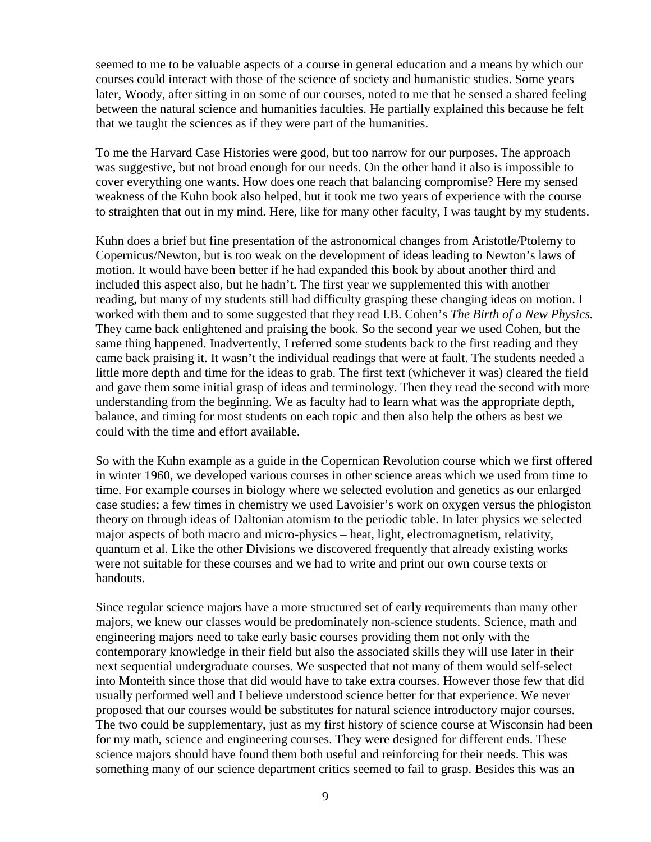seemed to me to be valuable aspects of a course in general education and a means by which our courses could interact with those of the science of society and humanistic studies. Some years later, Woody, after sitting in on some of our courses, noted to me that he sensed a shared feeling between the natural science and humanities faculties. He partially explained this because he felt that we taught the sciences as if they were part of the humanities.

To me the Harvard Case Histories were good, but too narrow for our purposes. The approach was suggestive, but not broad enough for our needs. On the other hand it also is impossible to cover everything one wants. How does one reach that balancing compromise? Here my sensed weakness of the Kuhn book also helped, but it took me two years of experience with the course to straighten that out in my mind. Here, like for many other faculty, I was taught by my students.

Kuhn does a brief but fine presentation of the astronomical changes from Aristotle/Ptolemy to Copernicus/Newton, but is too weak on the development of ideas leading to Newton's laws of motion. It would have been better if he had expanded this book by about another third and included this aspect also, but he hadn't. The first year we supplemented this with another reading, but many of my students still had difficulty grasping these changing ideas on motion. I worked with them and to some suggested that they read I.B. Cohen's *The Birth of a New Physics.* They came back enlightened and praising the book. So the second year we used Cohen, but the same thing happened. Inadvertently, I referred some students back to the first reading and they came back praising it. It wasn't the individual readings that were at fault. The students needed a little more depth and time for the ideas to grab. The first text (whichever it was) cleared the field and gave them some initial grasp of ideas and terminology. Then they read the second with more understanding from the beginning. We as faculty had to learn what was the appropriate depth, balance, and timing for most students on each topic and then also help the others as best we could with the time and effort available.

So with the Kuhn example as a guide in the Copernican Revolution course which we first offered in winter 1960, we developed various courses in other science areas which we used from time to time. For example courses in biology where we selected evolution and genetics as our enlarged case studies; a few times in chemistry we used Lavoisier's work on oxygen versus the phlogiston theory on through ideas of Daltonian atomism to the periodic table. In later physics we selected major aspects of both macro and micro-physics – heat, light, electromagnetism, relativity, quantum et al. Like the other Divisions we discovered frequently that already existing works were not suitable for these courses and we had to write and print our own course texts or handouts.

Since regular science majors have a more structured set of early requirements than many other majors, we knew our classes would be predominately non-science students. Science, math and engineering majors need to take early basic courses providing them not only with the contemporary knowledge in their field but also the associated skills they will use later in their next sequential undergraduate courses. We suspected that not many of them would self-select into Monteith since those that did would have to take extra courses. However those few that did usually performed well and I believe understood science better for that experience. We never proposed that our courses would be substitutes for natural science introductory major courses. The two could be supplementary, just as my first history of science course at Wisconsin had been for my math, science and engineering courses. They were designed for different ends. These science majors should have found them both useful and reinforcing for their needs. This was something many of our science department critics seemed to fail to grasp. Besides this was an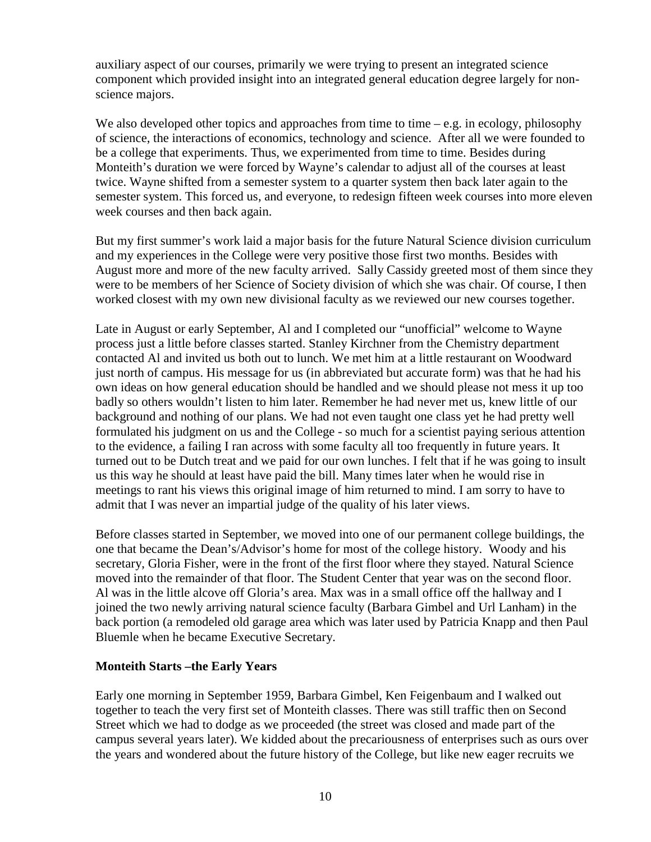auxiliary aspect of our courses, primarily we were trying to present an integrated science component which provided insight into an integrated general education degree largely for nonscience majors.

We also developed other topics and approaches from time to time  $-e.g.$  in ecology, philosophy of science, the interactions of economics, technology and science. After all we were founded to be a college that experiments. Thus, we experimented from time to time. Besides during Monteith's duration we were forced by Wayne's calendar to adjust all of the courses at least twice. Wayne shifted from a semester system to a quarter system then back later again to the semester system. This forced us, and everyone, to redesign fifteen week courses into more eleven week courses and then back again.

But my first summer's work laid a major basis for the future Natural Science division curriculum and my experiences in the College were very positive those first two months. Besides with August more and more of the new faculty arrived. Sally Cassidy greeted most of them since they were to be members of her Science of Society division of which she was chair. Of course, I then worked closest with my own new divisional faculty as we reviewed our new courses together.

Late in August or early September, Al and I completed our "unofficial" welcome to Wayne process just a little before classes started. Stanley Kirchner from the Chemistry department contacted Al and invited us both out to lunch. We met him at a little restaurant on Woodward just north of campus. His message for us (in abbreviated but accurate form) was that he had his own ideas on how general education should be handled and we should please not mess it up too badly so others wouldn't listen to him later. Remember he had never met us, knew little of our background and nothing of our plans. We had not even taught one class yet he had pretty well formulated his judgment on us and the College - so much for a scientist paying serious attention to the evidence, a failing I ran across with some faculty all too frequently in future years. It turned out to be Dutch treat and we paid for our own lunches. I felt that if he was going to insult us this way he should at least have paid the bill. Many times later when he would rise in meetings to rant his views this original image of him returned to mind. I am sorry to have to admit that I was never an impartial judge of the quality of his later views.

Before classes started in September, we moved into one of our permanent college buildings, the one that became the Dean's/Advisor's home for most of the college history. Woody and his secretary, Gloria Fisher, were in the front of the first floor where they stayed. Natural Science moved into the remainder of that floor. The Student Center that year was on the second floor. Al was in the little alcove off Gloria's area. Max was in a small office off the hallway and I joined the two newly arriving natural science faculty (Barbara Gimbel and Url Lanham) in the back portion (a remodeled old garage area which was later used by Patricia Knapp and then Paul Bluemle when he became Executive Secretary.

# **Monteith Starts –the Early Years**

Early one morning in September 1959, Barbara Gimbel, Ken Feigenbaum and I walked out together to teach the very first set of Monteith classes. There was still traffic then on Second Street which we had to dodge as we proceeded (the street was closed and made part of the campus several years later). We kidded about the precariousness of enterprises such as ours over the years and wondered about the future history of the College, but like new eager recruits we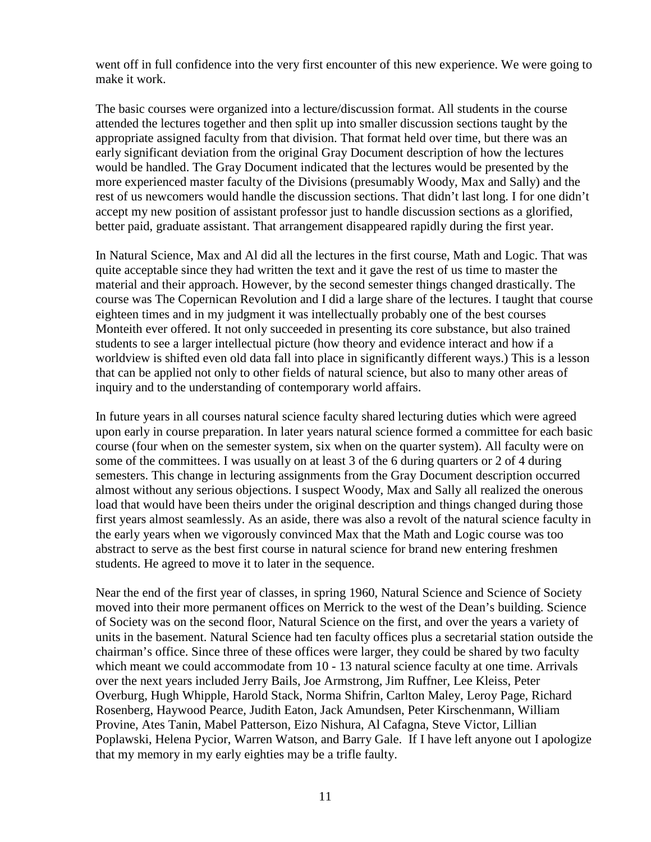went off in full confidence into the very first encounter of this new experience. We were going to make it work.

The basic courses were organized into a lecture/discussion format. All students in the course attended the lectures together and then split up into smaller discussion sections taught by the appropriate assigned faculty from that division. That format held over time, but there was an early significant deviation from the original Gray Document description of how the lectures would be handled. The Gray Document indicated that the lectures would be presented by the more experienced master faculty of the Divisions (presumably Woody, Max and Sally) and the rest of us newcomers would handle the discussion sections. That didn't last long. I for one didn't accept my new position of assistant professor just to handle discussion sections as a glorified, better paid, graduate assistant. That arrangement disappeared rapidly during the first year.

In Natural Science, Max and Al did all the lectures in the first course, Math and Logic. That was quite acceptable since they had written the text and it gave the rest of us time to master the material and their approach. However, by the second semester things changed drastically. The course was The Copernican Revolution and I did a large share of the lectures. I taught that course eighteen times and in my judgment it was intellectually probably one of the best courses Monteith ever offered. It not only succeeded in presenting its core substance, but also trained students to see a larger intellectual picture (how theory and evidence interact and how if a worldview is shifted even old data fall into place in significantly different ways.) This is a lesson that can be applied not only to other fields of natural science, but also to many other areas of inquiry and to the understanding of contemporary world affairs.

In future years in all courses natural science faculty shared lecturing duties which were agreed upon early in course preparation. In later years natural science formed a committee for each basic course (four when on the semester system, six when on the quarter system). All faculty were on some of the committees. I was usually on at least 3 of the 6 during quarters or 2 of 4 during semesters. This change in lecturing assignments from the Gray Document description occurred almost without any serious objections. I suspect Woody, Max and Sally all realized the onerous load that would have been theirs under the original description and things changed during those first years almost seamlessly. As an aside, there was also a revolt of the natural science faculty in the early years when we vigorously convinced Max that the Math and Logic course was too abstract to serve as the best first course in natural science for brand new entering freshmen students. He agreed to move it to later in the sequence.

Near the end of the first year of classes, in spring 1960, Natural Science and Science of Society moved into their more permanent offices on Merrick to the west of the Dean's building. Science of Society was on the second floor, Natural Science on the first, and over the years a variety of units in the basement. Natural Science had ten faculty offices plus a secretarial station outside the chairman's office. Since three of these offices were larger, they could be shared by two faculty which meant we could accommodate from 10 - 13 natural science faculty at one time. Arrivals over the next years included Jerry Bails, Joe Armstrong, Jim Ruffner, Lee Kleiss, Peter Overburg, Hugh Whipple, Harold Stack, Norma Shifrin, Carlton Maley, Leroy Page, Richard Rosenberg, Haywood Pearce, Judith Eaton, Jack Amundsen, Peter Kirschenmann, William Provine, Ates Tanin, Mabel Patterson, Eizo Nishura, Al Cafagna, Steve Victor, Lillian Poplawski, Helena Pycior, Warren Watson, and Barry Gale. If I have left anyone out I apologize that my memory in my early eighties may be a trifle faulty.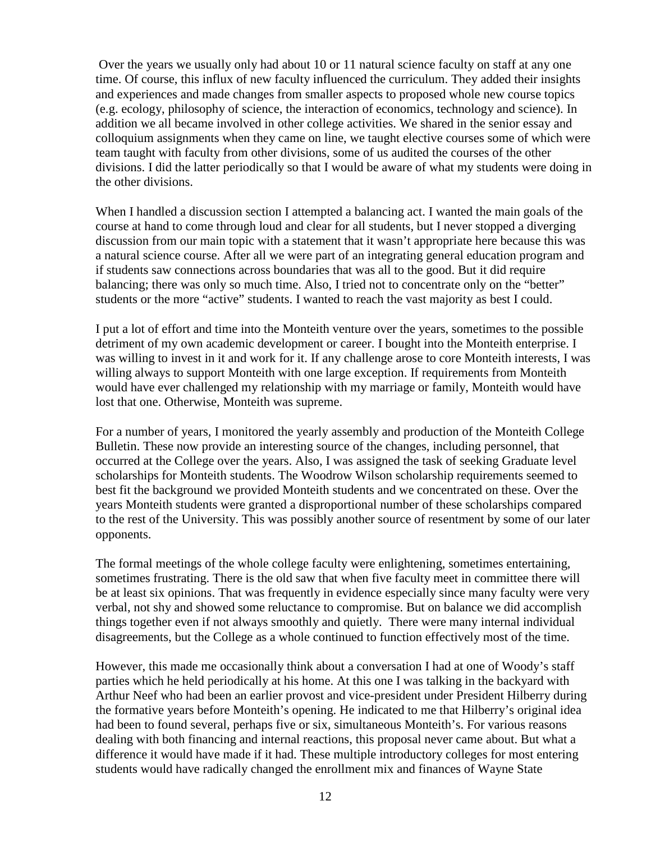Over the years we usually only had about 10 or 11 natural science faculty on staff at any one time. Of course, this influx of new faculty influenced the curriculum. They added their insights and experiences and made changes from smaller aspects to proposed whole new course topics (e.g. ecology, philosophy of science, the interaction of economics, technology and science). In addition we all became involved in other college activities. We shared in the senior essay and colloquium assignments when they came on line, we taught elective courses some of which were team taught with faculty from other divisions, some of us audited the courses of the other divisions. I did the latter periodically so that I would be aware of what my students were doing in the other divisions.

When I handled a discussion section I attempted a balancing act. I wanted the main goals of the course at hand to come through loud and clear for all students, but I never stopped a diverging discussion from our main topic with a statement that it wasn't appropriate here because this was a natural science course. After all we were part of an integrating general education program and if students saw connections across boundaries that was all to the good. But it did require balancing; there was only so much time. Also, I tried not to concentrate only on the "better" students or the more "active" students. I wanted to reach the vast majority as best I could.

I put a lot of effort and time into the Monteith venture over the years, sometimes to the possible detriment of my own academic development or career. I bought into the Monteith enterprise. I was willing to invest in it and work for it. If any challenge arose to core Monteith interests, I was willing always to support Monteith with one large exception. If requirements from Monteith would have ever challenged my relationship with my marriage or family, Monteith would have lost that one. Otherwise, Monteith was supreme.

For a number of years, I monitored the yearly assembly and production of the Monteith College Bulletin. These now provide an interesting source of the changes, including personnel, that occurred at the College over the years. Also, I was assigned the task of seeking Graduate level scholarships for Monteith students. The Woodrow Wilson scholarship requirements seemed to best fit the background we provided Monteith students and we concentrated on these. Over the years Monteith students were granted a disproportional number of these scholarships compared to the rest of the University. This was possibly another source of resentment by some of our later opponents.

The formal meetings of the whole college faculty were enlightening, sometimes entertaining, sometimes frustrating. There is the old saw that when five faculty meet in committee there will be at least six opinions. That was frequently in evidence especially since many faculty were very verbal, not shy and showed some reluctance to compromise. But on balance we did accomplish things together even if not always smoothly and quietly. There were many internal individual disagreements, but the College as a whole continued to function effectively most of the time.

However, this made me occasionally think about a conversation I had at one of Woody's staff parties which he held periodically at his home. At this one I was talking in the backyard with Arthur Neef who had been an earlier provost and vice-president under President Hilberry during the formative years before Monteith's opening. He indicated to me that Hilberry's original idea had been to found several, perhaps five or six, simultaneous Monteith's. For various reasons dealing with both financing and internal reactions, this proposal never came about. But what a difference it would have made if it had. These multiple introductory colleges for most entering students would have radically changed the enrollment mix and finances of Wayne State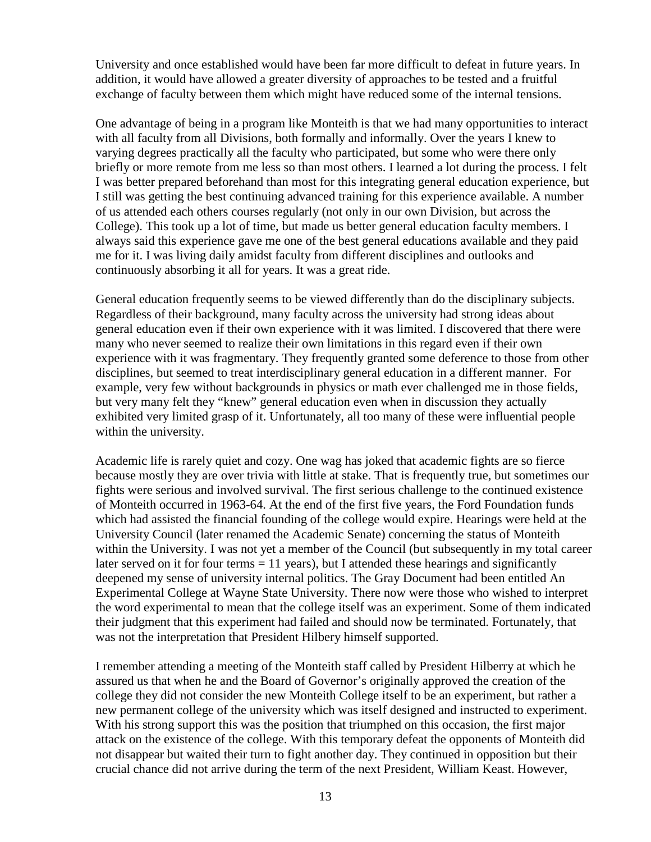University and once established would have been far more difficult to defeat in future years. In addition, it would have allowed a greater diversity of approaches to be tested and a fruitful exchange of faculty between them which might have reduced some of the internal tensions.

One advantage of being in a program like Monteith is that we had many opportunities to interact with all faculty from all Divisions, both formally and informally. Over the years I knew to varying degrees practically all the faculty who participated, but some who were there only briefly or more remote from me less so than most others. I learned a lot during the process. I felt I was better prepared beforehand than most for this integrating general education experience, but I still was getting the best continuing advanced training for this experience available. A number of us attended each others courses regularly (not only in our own Division, but across the College). This took up a lot of time, but made us better general education faculty members. I always said this experience gave me one of the best general educations available and they paid me for it. I was living daily amidst faculty from different disciplines and outlooks and continuously absorbing it all for years. It was a great ride.

General education frequently seems to be viewed differently than do the disciplinary subjects. Regardless of their background, many faculty across the university had strong ideas about general education even if their own experience with it was limited. I discovered that there were many who never seemed to realize their own limitations in this regard even if their own experience with it was fragmentary. They frequently granted some deference to those from other disciplines, but seemed to treat interdisciplinary general education in a different manner. For example, very few without backgrounds in physics or math ever challenged me in those fields, but very many felt they "knew" general education even when in discussion they actually exhibited very limited grasp of it. Unfortunately, all too many of these were influential people within the university.

Academic life is rarely quiet and cozy. One wag has joked that academic fights are so fierce because mostly they are over trivia with little at stake. That is frequently true, but sometimes our fights were serious and involved survival. The first serious challenge to the continued existence of Monteith occurred in 1963-64. At the end of the first five years, the Ford Foundation funds which had assisted the financial founding of the college would expire. Hearings were held at the University Council (later renamed the Academic Senate) concerning the status of Monteith within the University. I was not yet a member of the Council (but subsequently in my total career later served on it for four terms  $= 11$  years), but I attended these hearings and significantly deepened my sense of university internal politics. The Gray Document had been entitled An Experimental College at Wayne State University. There now were those who wished to interpret the word experimental to mean that the college itself was an experiment. Some of them indicated their judgment that this experiment had failed and should now be terminated. Fortunately, that was not the interpretation that President Hilbery himself supported.

I remember attending a meeting of the Monteith staff called by President Hilberry at which he assured us that when he and the Board of Governor's originally approved the creation of the college they did not consider the new Monteith College itself to be an experiment, but rather a new permanent college of the university which was itself designed and instructed to experiment. With his strong support this was the position that triumphed on this occasion, the first major attack on the existence of the college. With this temporary defeat the opponents of Monteith did not disappear but waited their turn to fight another day. They continued in opposition but their crucial chance did not arrive during the term of the next President, William Keast. However,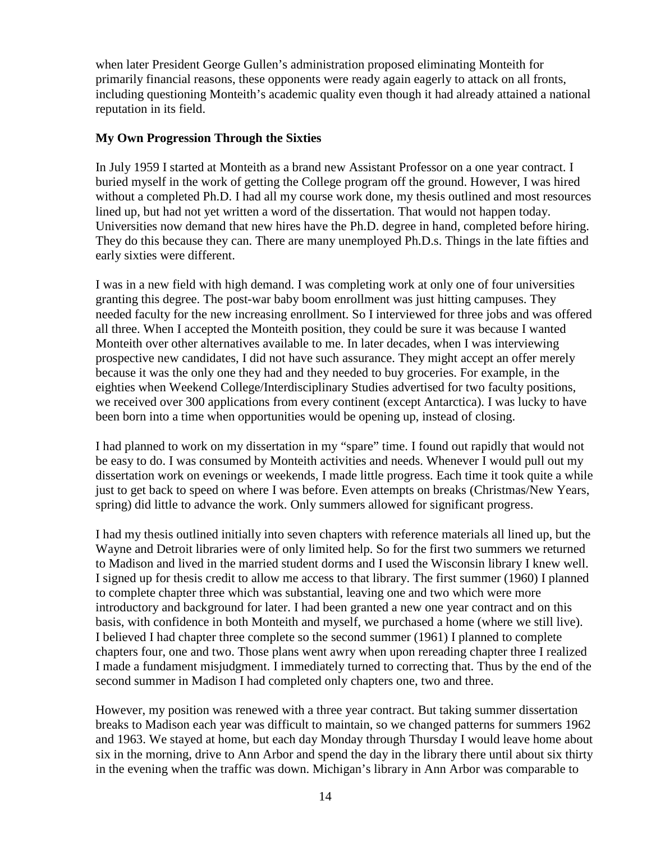when later President George Gullen's administration proposed eliminating Monteith for primarily financial reasons, these opponents were ready again eagerly to attack on all fronts, including questioning Monteith's academic quality even though it had already attained a national reputation in its field.

#### **My Own Progression Through the Sixties**

In July 1959 I started at Monteith as a brand new Assistant Professor on a one year contract. I buried myself in the work of getting the College program off the ground. However, I was hired without a completed Ph.D. I had all my course work done, my thesis outlined and most resources lined up, but had not yet written a word of the dissertation. That would not happen today. Universities now demand that new hires have the Ph.D. degree in hand, completed before hiring. They do this because they can. There are many unemployed Ph.D.s. Things in the late fifties and early sixties were different.

I was in a new field with high demand. I was completing work at only one of four universities granting this degree. The post-war baby boom enrollment was just hitting campuses. They needed faculty for the new increasing enrollment. So I interviewed for three jobs and was offered all three. When I accepted the Monteith position, they could be sure it was because I wanted Monteith over other alternatives available to me. In later decades, when I was interviewing prospective new candidates, I did not have such assurance. They might accept an offer merely because it was the only one they had and they needed to buy groceries. For example, in the eighties when Weekend College/Interdisciplinary Studies advertised for two faculty positions, we received over 300 applications from every continent (except Antarctica). I was lucky to have been born into a time when opportunities would be opening up, instead of closing.

I had planned to work on my dissertation in my "spare" time. I found out rapidly that would not be easy to do. I was consumed by Monteith activities and needs. Whenever I would pull out my dissertation work on evenings or weekends, I made little progress. Each time it took quite a while just to get back to speed on where I was before. Even attempts on breaks (Christmas/New Years, spring) did little to advance the work. Only summers allowed for significant progress.

I had my thesis outlined initially into seven chapters with reference materials all lined up, but the Wayne and Detroit libraries were of only limited help. So for the first two summers we returned to Madison and lived in the married student dorms and I used the Wisconsin library I knew well. I signed up for thesis credit to allow me access to that library. The first summer (1960) I planned to complete chapter three which was substantial, leaving one and two which were more introductory and background for later. I had been granted a new one year contract and on this basis, with confidence in both Monteith and myself, we purchased a home (where we still live). I believed I had chapter three complete so the second summer (1961) I planned to complete chapters four, one and two. Those plans went awry when upon rereading chapter three I realized I made a fundament misjudgment. I immediately turned to correcting that. Thus by the end of the second summer in Madison I had completed only chapters one, two and three.

However, my position was renewed with a three year contract. But taking summer dissertation breaks to Madison each year was difficult to maintain, so we changed patterns for summers 1962 and 1963. We stayed at home, but each day Monday through Thursday I would leave home about six in the morning, drive to Ann Arbor and spend the day in the library there until about six thirty in the evening when the traffic was down. Michigan's library in Ann Arbor was comparable to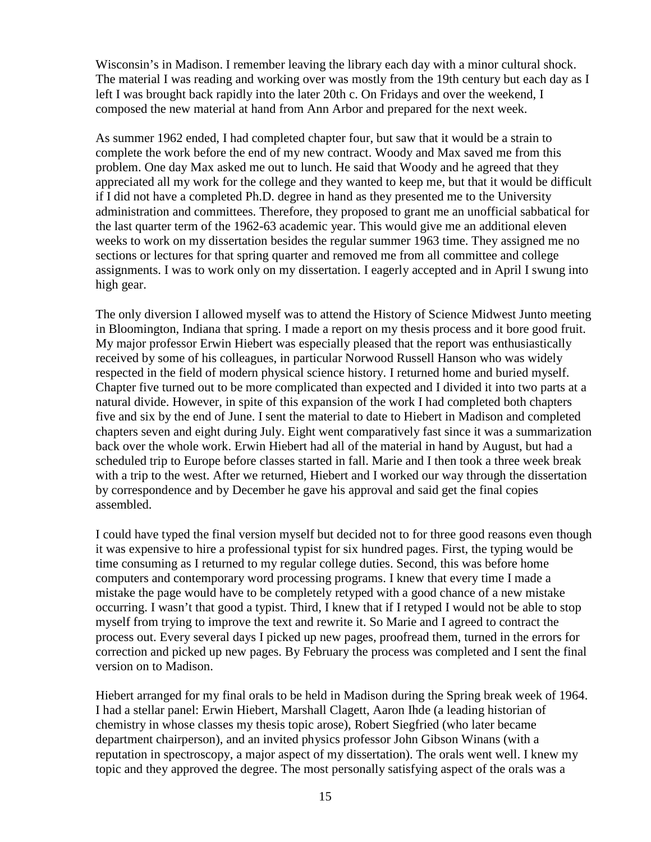Wisconsin's in Madison. I remember leaving the library each day with a minor cultural shock. The material I was reading and working over was mostly from the 19th century but each day as I left I was brought back rapidly into the later 20th c. On Fridays and over the weekend, I composed the new material at hand from Ann Arbor and prepared for the next week.

As summer 1962 ended, I had completed chapter four, but saw that it would be a strain to complete the work before the end of my new contract. Woody and Max saved me from this problem. One day Max asked me out to lunch. He said that Woody and he agreed that they appreciated all my work for the college and they wanted to keep me, but that it would be difficult if I did not have a completed Ph.D. degree in hand as they presented me to the University administration and committees. Therefore, they proposed to grant me an unofficial sabbatical for the last quarter term of the 1962-63 academic year. This would give me an additional eleven weeks to work on my dissertation besides the regular summer 1963 time. They assigned me no sections or lectures for that spring quarter and removed me from all committee and college assignments. I was to work only on my dissertation. I eagerly accepted and in April I swung into high gear.

The only diversion I allowed myself was to attend the History of Science Midwest Junto meeting in Bloomington, Indiana that spring. I made a report on my thesis process and it bore good fruit. My major professor Erwin Hiebert was especially pleased that the report was enthusiastically received by some of his colleagues, in particular Norwood Russell Hanson who was widely respected in the field of modern physical science history. I returned home and buried myself. Chapter five turned out to be more complicated than expected and I divided it into two parts at a natural divide. However, in spite of this expansion of the work I had completed both chapters five and six by the end of June. I sent the material to date to Hiebert in Madison and completed chapters seven and eight during July. Eight went comparatively fast since it was a summarization back over the whole work. Erwin Hiebert had all of the material in hand by August, but had a scheduled trip to Europe before classes started in fall. Marie and I then took a three week break with a trip to the west. After we returned, Hiebert and I worked our way through the dissertation by correspondence and by December he gave his approval and said get the final copies assembled.

I could have typed the final version myself but decided not to for three good reasons even though it was expensive to hire a professional typist for six hundred pages. First, the typing would be time consuming as I returned to my regular college duties. Second, this was before home computers and contemporary word processing programs. I knew that every time I made a mistake the page would have to be completely retyped with a good chance of a new mistake occurring. I wasn't that good a typist. Third, I knew that if I retyped I would not be able to stop myself from trying to improve the text and rewrite it. So Marie and I agreed to contract the process out. Every several days I picked up new pages, proofread them, turned in the errors for correction and picked up new pages. By February the process was completed and I sent the final version on to Madison.

Hiebert arranged for my final orals to be held in Madison during the Spring break week of 1964. I had a stellar panel: Erwin Hiebert, Marshall Clagett, Aaron Ihde (a leading historian of chemistry in whose classes my thesis topic arose), Robert Siegfried (who later became department chairperson), and an invited physics professor John Gibson Winans (with a reputation in spectroscopy, a major aspect of my dissertation). The orals went well. I knew my topic and they approved the degree. The most personally satisfying aspect of the orals was a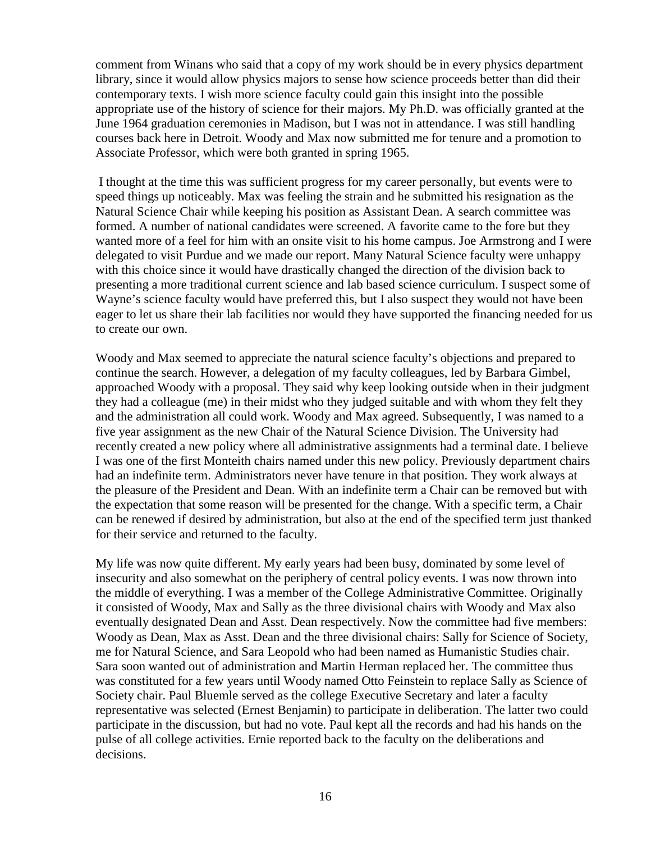comment from Winans who said that a copy of my work should be in every physics department library, since it would allow physics majors to sense how science proceeds better than did their contemporary texts. I wish more science faculty could gain this insight into the possible appropriate use of the history of science for their majors. My Ph.D. was officially granted at the June 1964 graduation ceremonies in Madison, but I was not in attendance. I was still handling courses back here in Detroit. Woody and Max now submitted me for tenure and a promotion to Associate Professor, which were both granted in spring 1965.

I thought at the time this was sufficient progress for my career personally, but events were to speed things up noticeably. Max was feeling the strain and he submitted his resignation as the Natural Science Chair while keeping his position as Assistant Dean. A search committee was formed. A number of national candidates were screened. A favorite came to the fore but they wanted more of a feel for him with an onsite visit to his home campus. Joe Armstrong and I were delegated to visit Purdue and we made our report. Many Natural Science faculty were unhappy with this choice since it would have drastically changed the direction of the division back to presenting a more traditional current science and lab based science curriculum. I suspect some of Wayne's science faculty would have preferred this, but I also suspect they would not have been eager to let us share their lab facilities nor would they have supported the financing needed for us to create our own.

Woody and Max seemed to appreciate the natural science faculty's objections and prepared to continue the search. However, a delegation of my faculty colleagues, led by Barbara Gimbel, approached Woody with a proposal. They said why keep looking outside when in their judgment they had a colleague (me) in their midst who they judged suitable and with whom they felt they and the administration all could work. Woody and Max agreed. Subsequently, I was named to a five year assignment as the new Chair of the Natural Science Division. The University had recently created a new policy where all administrative assignments had a terminal date. I believe I was one of the first Monteith chairs named under this new policy. Previously department chairs had an indefinite term. Administrators never have tenure in that position. They work always at the pleasure of the President and Dean. With an indefinite term a Chair can be removed but with the expectation that some reason will be presented for the change. With a specific term, a Chair can be renewed if desired by administration, but also at the end of the specified term just thanked for their service and returned to the faculty.

My life was now quite different. My early years had been busy, dominated by some level of insecurity and also somewhat on the periphery of central policy events. I was now thrown into the middle of everything. I was a member of the College Administrative Committee. Originally it consisted of Woody, Max and Sally as the three divisional chairs with Woody and Max also eventually designated Dean and Asst. Dean respectively. Now the committee had five members: Woody as Dean, Max as Asst. Dean and the three divisional chairs: Sally for Science of Society, me for Natural Science, and Sara Leopold who had been named as Humanistic Studies chair. Sara soon wanted out of administration and Martin Herman replaced her. The committee thus was constituted for a few years until Woody named Otto Feinstein to replace Sally as Science of Society chair. Paul Bluemle served as the college Executive Secretary and later a faculty representative was selected (Ernest Benjamin) to participate in deliberation. The latter two could participate in the discussion, but had no vote. Paul kept all the records and had his hands on the pulse of all college activities. Ernie reported back to the faculty on the deliberations and decisions.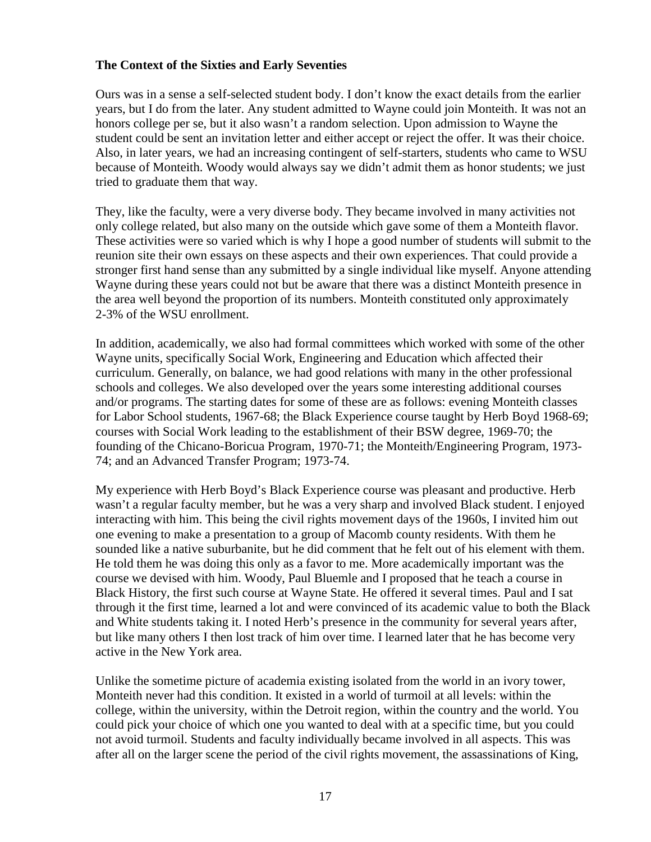#### **The Context of the Sixties and Early Seventies**

Ours was in a sense a self-selected student body. I don't know the exact details from the earlier years, but I do from the later. Any student admitted to Wayne could join Monteith. It was not an honors college per se, but it also wasn't a random selection. Upon admission to Wayne the student could be sent an invitation letter and either accept or reject the offer. It was their choice. Also, in later years, we had an increasing contingent of self-starters, students who came to WSU because of Monteith. Woody would always say we didn't admit them as honor students; we just tried to graduate them that way.

They, like the faculty, were a very diverse body. They became involved in many activities not only college related, but also many on the outside which gave some of them a Monteith flavor. These activities were so varied which is why I hope a good number of students will submit to the reunion site their own essays on these aspects and their own experiences. That could provide a stronger first hand sense than any submitted by a single individual like myself. Anyone attending Wayne during these years could not but be aware that there was a distinct Monteith presence in the area well beyond the proportion of its numbers. Monteith constituted only approximately 2-3% of the WSU enrollment.

In addition, academically, we also had formal committees which worked with some of the other Wayne units, specifically Social Work, Engineering and Education which affected their curriculum. Generally, on balance, we had good relations with many in the other professional schools and colleges. We also developed over the years some interesting additional courses and/or programs. The starting dates for some of these are as follows: evening Monteith classes for Labor School students, 1967-68; the Black Experience course taught by Herb Boyd 1968-69; courses with Social Work leading to the establishment of their BSW degree, 1969-70; the founding of the Chicano-Boricua Program, 1970-71; the Monteith/Engineering Program, 1973- 74; and an Advanced Transfer Program; 1973-74.

My experience with Herb Boyd's Black Experience course was pleasant and productive. Herb wasn't a regular faculty member, but he was a very sharp and involved Black student. I enjoyed interacting with him. This being the civil rights movement days of the 1960s, I invited him out one evening to make a presentation to a group of Macomb county residents. With them he sounded like a native suburbanite, but he did comment that he felt out of his element with them. He told them he was doing this only as a favor to me. More academically important was the course we devised with him. Woody, Paul Bluemle and I proposed that he teach a course in Black History, the first such course at Wayne State. He offered it several times. Paul and I sat through it the first time, learned a lot and were convinced of its academic value to both the Black and White students taking it. I noted Herb's presence in the community for several years after, but like many others I then lost track of him over time. I learned later that he has become very active in the New York area.

Unlike the sometime picture of academia existing isolated from the world in an ivory tower, Monteith never had this condition. It existed in a world of turmoil at all levels: within the college, within the university, within the Detroit region, within the country and the world. You could pick your choice of which one you wanted to deal with at a specific time, but you could not avoid turmoil. Students and faculty individually became involved in all aspects. This was after all on the larger scene the period of the civil rights movement, the assassinations of King,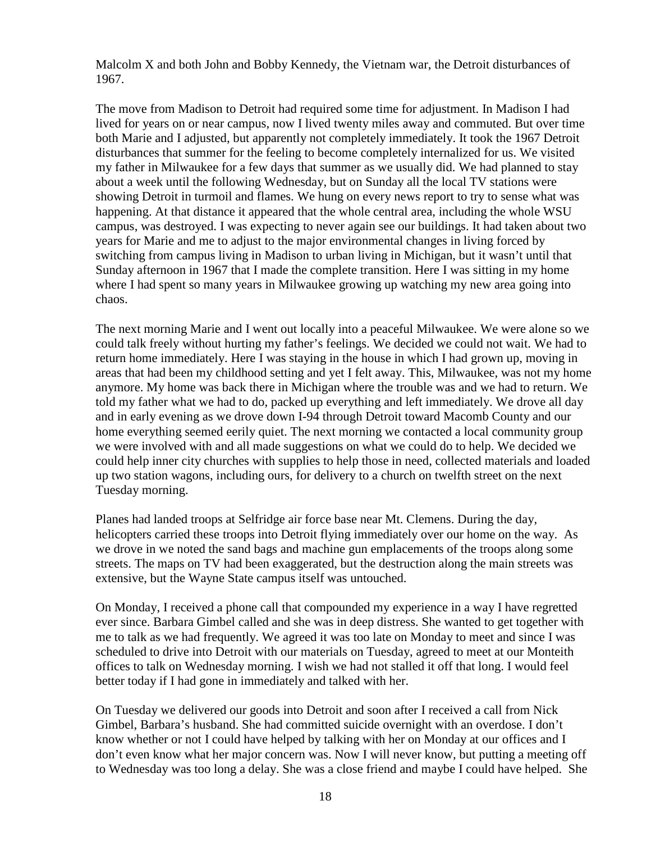Malcolm X and both John and Bobby Kennedy, the Vietnam war, the Detroit disturbances of 1967.

The move from Madison to Detroit had required some time for adjustment. In Madison I had lived for years on or near campus, now I lived twenty miles away and commuted. But over time both Marie and I adjusted, but apparently not completely immediately. It took the 1967 Detroit disturbances that summer for the feeling to become completely internalized for us. We visited my father in Milwaukee for a few days that summer as we usually did. We had planned to stay about a week until the following Wednesday, but on Sunday all the local TV stations were showing Detroit in turmoil and flames. We hung on every news report to try to sense what was happening. At that distance it appeared that the whole central area, including the whole WSU campus, was destroyed. I was expecting to never again see our buildings. It had taken about two years for Marie and me to adjust to the major environmental changes in living forced by switching from campus living in Madison to urban living in Michigan, but it wasn't until that Sunday afternoon in 1967 that I made the complete transition. Here I was sitting in my home where I had spent so many years in Milwaukee growing up watching my new area going into chaos.

The next morning Marie and I went out locally into a peaceful Milwaukee. We were alone so we could talk freely without hurting my father's feelings. We decided we could not wait. We had to return home immediately. Here I was staying in the house in which I had grown up, moving in areas that had been my childhood setting and yet I felt away. This, Milwaukee, was not my home anymore. My home was back there in Michigan where the trouble was and we had to return. We told my father what we had to do, packed up everything and left immediately. We drove all day and in early evening as we drove down I-94 through Detroit toward Macomb County and our home everything seemed eerily quiet. The next morning we contacted a local community group we were involved with and all made suggestions on what we could do to help. We decided we could help inner city churches with supplies to help those in need, collected materials and loaded up two station wagons, including ours, for delivery to a church on twelfth street on the next Tuesday morning.

Planes had landed troops at Selfridge air force base near Mt. Clemens. During the day, helicopters carried these troops into Detroit flying immediately over our home on the way. As we drove in we noted the sand bags and machine gun emplacements of the troops along some streets. The maps on TV had been exaggerated, but the destruction along the main streets was extensive, but the Wayne State campus itself was untouched.

On Monday, I received a phone call that compounded my experience in a way I have regretted ever since. Barbara Gimbel called and she was in deep distress. She wanted to get together with me to talk as we had frequently. We agreed it was too late on Monday to meet and since I was scheduled to drive into Detroit with our materials on Tuesday, agreed to meet at our Monteith offices to talk on Wednesday morning. I wish we had not stalled it off that long. I would feel better today if I had gone in immediately and talked with her.

On Tuesday we delivered our goods into Detroit and soon after I received a call from Nick Gimbel, Barbara's husband. She had committed suicide overnight with an overdose. I don't know whether or not I could have helped by talking with her on Monday at our offices and I don't even know what her major concern was. Now I will never know, but putting a meeting off to Wednesday was too long a delay. She was a close friend and maybe I could have helped. She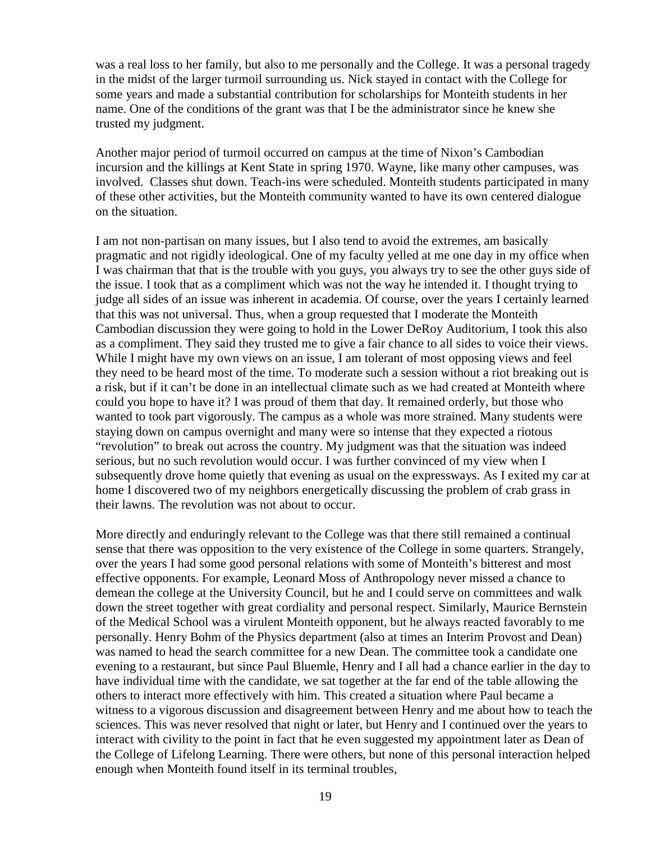was a real loss to her family, but also to me personally and the College. It was a personal tragedy in the midst of the larger turmoil surrounding us. Nick stayed in contact with the College for some years and made a substantial contribution for scholarships for Monteith students in her name. One of the conditions of the grant was that I be the administrator since he knew she trusted my judgment.

Another major period of turmoil occurred on campus at the time of Nixon's Cambodian incursion and the killings at Kent State in spring 1970. Wayne, like many other campuses, was involved. Classes shut down. Teach-ins were scheduled. Monteith students participated in many of these other activities, but the Monteith community wanted to have its own centered dialogue on the situation.

I am not non-partisan on many issues, but I also tend to avoid the extremes, am basically pragmatic and not rigidly ideological. One of my faculty yelled at me one day in my office when I was chairman that that is the trouble with you guys, you always try to see the other guys side of the issue. I took that as a compliment which was not the way he intended it. I thought trying to judge all sides of an issue was inherent in academia. Of course, over the years I certainly learned that this was not universal. Thus, when a group requested that I moderate the Monteith Cambodian discussion they were going to hold in the Lower DeRoy Auditorium, I took this also as a compliment. They said they trusted me to give a fair chance to all sides to voice their views. While I might have my own views on an issue, I am tolerant of most opposing views and feel they need to be heard most of the time. To moderate such a session without a riot breaking out is a risk, but if it can't be done in an intellectual climate such as we had created at Monteith where could you hope to have it? I was proud of them that day. It remained orderly, but those who wanted to took part vigorously. The campus as a whole was more strained. Many students were staying down on campus overnight and many were so intense that they expected a riotous "revolution" to break out across the country. My judgment was that the situation was indeed serious, but no such revolution would occur. I was further convinced of my view when I subsequently drove home quietly that evening as usual on the expressways. As I exited my car at home I discovered two of my neighbors energetically discussing the problem of crab grass in their lawns. The revolution was not about to occur.

More directly and enduringly relevant to the College was that there still remained a continual sense that there was opposition to the very existence of the College in some quarters. Strangely, over the years I had some good personal relations with some of Monteith's bitterest and most effective opponents. For example, Leonard Moss of Anthropology never missed a chance to demean the college at the University Council, but he and I could serve on committees and walk down the street together with great cordiality and personal respect. Similarly, Maurice Bernstein of the Medical School was a virulent Monteith opponent, but he always reacted favorably to me personally. Henry Bohm of the Physics department (also at times an Interim Provost and Dean) was named to head the search committee for a new Dean. The committee took a candidate one evening to a restaurant, but since Paul Bluemle, Henry and I all had a chance earlier in the day to have individual time with the candidate, we sat together at the far end of the table allowing the others to interact more effectively with him. This created a situation where Paul became a witness to a vigorous discussion and disagreement between Henry and me about how to teach the sciences. This was never resolved that night or later, but Henry and I continued over the years to interact with civility to the point in fact that he even suggested my appointment later as Dean of the College of Lifelong Learning. There were others, but none of this personal interaction helped enough when Monteith found itself in its terminal troubles,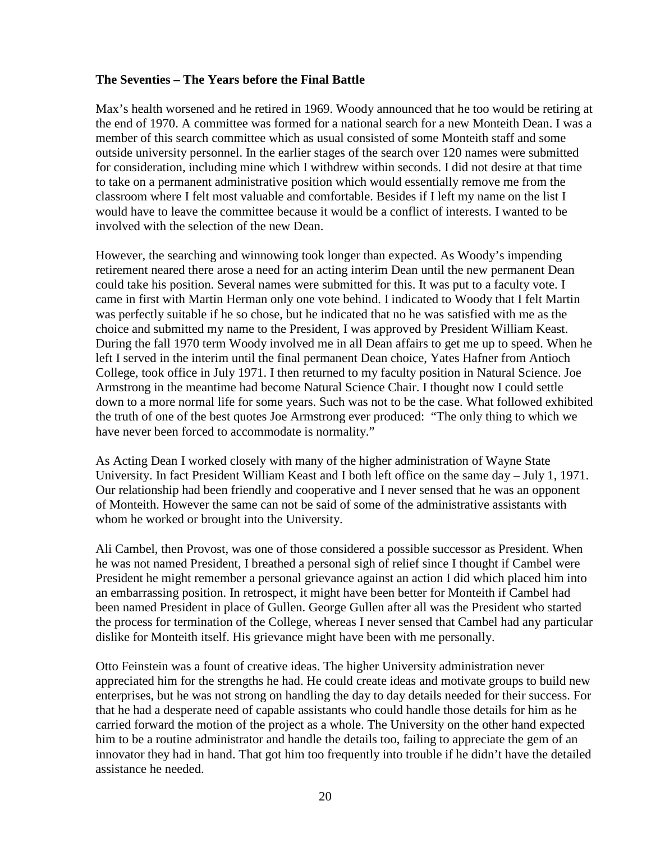#### **The Seventies – The Years before the Final Battle**

Max's health worsened and he retired in 1969. Woody announced that he too would be retiring at the end of 1970. A committee was formed for a national search for a new Monteith Dean. I was a member of this search committee which as usual consisted of some Monteith staff and some outside university personnel. In the earlier stages of the search over 120 names were submitted for consideration, including mine which I withdrew within seconds. I did not desire at that time to take on a permanent administrative position which would essentially remove me from the classroom where I felt most valuable and comfortable. Besides if I left my name on the list I would have to leave the committee because it would be a conflict of interests. I wanted to be involved with the selection of the new Dean.

However, the searching and winnowing took longer than expected. As Woody's impending retirement neared there arose a need for an acting interim Dean until the new permanent Dean could take his position. Several names were submitted for this. It was put to a faculty vote. I came in first with Martin Herman only one vote behind. I indicated to Woody that I felt Martin was perfectly suitable if he so chose, but he indicated that no he was satisfied with me as the choice and submitted my name to the President, I was approved by President William Keast. During the fall 1970 term Woody involved me in all Dean affairs to get me up to speed. When he left I served in the interim until the final permanent Dean choice, Yates Hafner from Antioch College, took office in July 1971. I then returned to my faculty position in Natural Science. Joe Armstrong in the meantime had become Natural Science Chair. I thought now I could settle down to a more normal life for some years. Such was not to be the case. What followed exhibited the truth of one of the best quotes Joe Armstrong ever produced: "The only thing to which we have never been forced to accommodate is normality."

As Acting Dean I worked closely with many of the higher administration of Wayne State University. In fact President William Keast and I both left office on the same day – July 1, 1971. Our relationship had been friendly and cooperative and I never sensed that he was an opponent of Monteith. However the same can not be said of some of the administrative assistants with whom he worked or brought into the University.

Ali Cambel, then Provost, was one of those considered a possible successor as President. When he was not named President, I breathed a personal sigh of relief since I thought if Cambel were President he might remember a personal grievance against an action I did which placed him into an embarrassing position. In retrospect, it might have been better for Monteith if Cambel had been named President in place of Gullen. George Gullen after all was the President who started the process for termination of the College, whereas I never sensed that Cambel had any particular dislike for Monteith itself. His grievance might have been with me personally.

Otto Feinstein was a fount of creative ideas. The higher University administration never appreciated him for the strengths he had. He could create ideas and motivate groups to build new enterprises, but he was not strong on handling the day to day details needed for their success. For that he had a desperate need of capable assistants who could handle those details for him as he carried forward the motion of the project as a whole. The University on the other hand expected him to be a routine administrator and handle the details too, failing to appreciate the gem of an innovator they had in hand. That got him too frequently into trouble if he didn't have the detailed assistance he needed.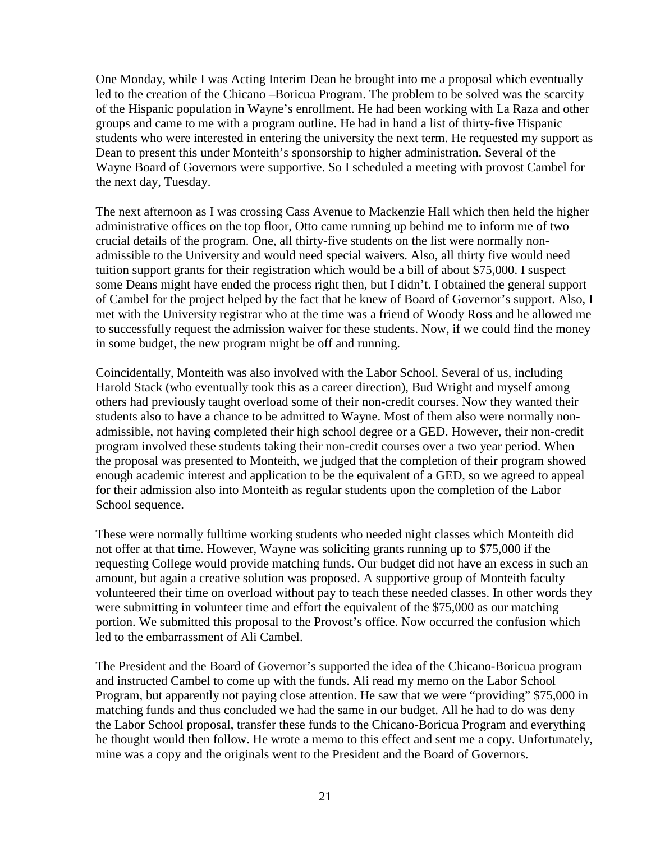One Monday, while I was Acting Interim Dean he brought into me a proposal which eventually led to the creation of the Chicano –Boricua Program. The problem to be solved was the scarcity of the Hispanic population in Wayne's enrollment. He had been working with La Raza and other groups and came to me with a program outline. He had in hand a list of thirty-five Hispanic students who were interested in entering the university the next term. He requested my support as Dean to present this under Monteith's sponsorship to higher administration. Several of the Wayne Board of Governors were supportive. So I scheduled a meeting with provost Cambel for the next day, Tuesday.

The next afternoon as I was crossing Cass Avenue to Mackenzie Hall which then held the higher administrative offices on the top floor, Otto came running up behind me to inform me of two crucial details of the program. One, all thirty-five students on the list were normally nonadmissible to the University and would need special waivers. Also, all thirty five would need tuition support grants for their registration which would be a bill of about \$75,000. I suspect some Deans might have ended the process right then, but I didn't. I obtained the general support of Cambel for the project helped by the fact that he knew of Board of Governor's support. Also, I met with the University registrar who at the time was a friend of Woody Ross and he allowed me to successfully request the admission waiver for these students. Now, if we could find the money in some budget, the new program might be off and running.

Coincidentally, Monteith was also involved with the Labor School. Several of us, including Harold Stack (who eventually took this as a career direction), Bud Wright and myself among others had previously taught overload some of their non-credit courses. Now they wanted their students also to have a chance to be admitted to Wayne. Most of them also were normally nonadmissible, not having completed their high school degree or a GED. However, their non-credit program involved these students taking their non-credit courses over a two year period. When the proposal was presented to Monteith, we judged that the completion of their program showed enough academic interest and application to be the equivalent of a GED, so we agreed to appeal for their admission also into Monteith as regular students upon the completion of the Labor School sequence.

These were normally fulltime working students who needed night classes which Monteith did not offer at that time. However, Wayne was soliciting grants running up to \$75,000 if the requesting College would provide matching funds. Our budget did not have an excess in such an amount, but again a creative solution was proposed. A supportive group of Monteith faculty volunteered their time on overload without pay to teach these needed classes. In other words they were submitting in volunteer time and effort the equivalent of the \$75,000 as our matching portion. We submitted this proposal to the Provost's office. Now occurred the confusion which led to the embarrassment of Ali Cambel.

The President and the Board of Governor's supported the idea of the Chicano-Boricua program and instructed Cambel to come up with the funds. Ali read my memo on the Labor School Program, but apparently not paying close attention. He saw that we were "providing" \$75,000 in matching funds and thus concluded we had the same in our budget. All he had to do was deny the Labor School proposal, transfer these funds to the Chicano-Boricua Program and everything he thought would then follow. He wrote a memo to this effect and sent me a copy. Unfortunately, mine was a copy and the originals went to the President and the Board of Governors.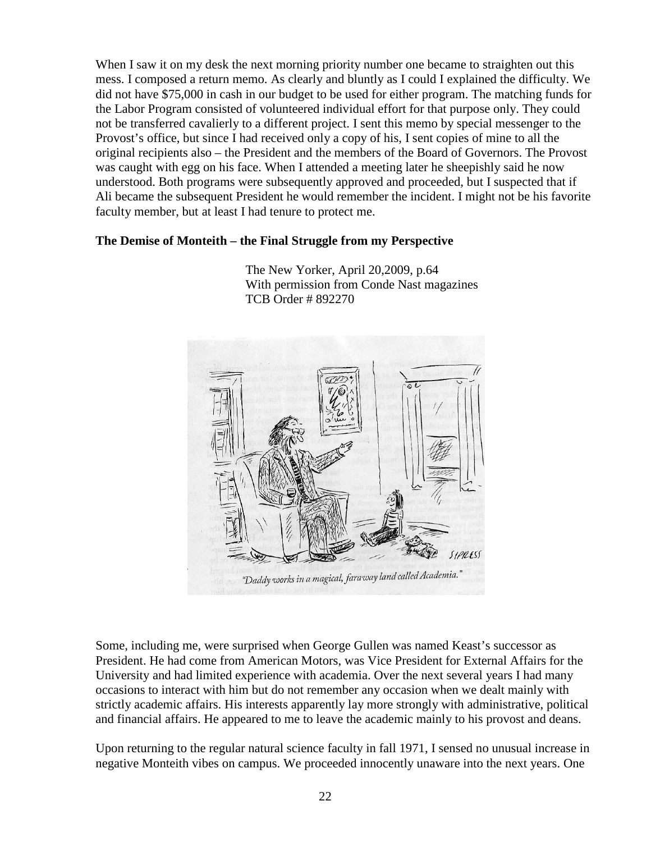When I saw it on my desk the next morning priority number one became to straighten out this mess. I composed a return memo. As clearly and bluntly as I could I explained the difficulty. We did not have \$75,000 in cash in our budget to be used for either program. The matching funds for the Labor Program consisted of volunteered individual effort for that purpose only. They could not be transferred cavalierly to a different project. I sent this memo by special messenger to the Provost's office, but since I had received only a copy of his, I sent copies of mine to all the original recipients also – the President and the members of the Board of Governors. The Provost was caught with egg on his face. When I attended a meeting later he sheepishly said he now understood. Both programs were subsequently approved and proceeded, but I suspected that if Ali became the subsequent President he would remember the incident. I might not be his favorite faculty member, but at least I had tenure to protect me.

# **The Demise of Monteith – the Final Struggle from my Perspective**

 TCB Order # 892270  $SIPRES$ 

 The New Yorker, April 20,2009, p.64 With permission from Conde Nast magazines

"Daddy works in a magical, faraway land called Academia."

Some, including me, were surprised when George Gullen was named Keast's successor as President. He had come from American Motors, was Vice President for External Affairs for the University and had limited experience with academia. Over the next several years I had many occasions to interact with him but do not remember any occasion when we dealt mainly with strictly academic affairs. His interests apparently lay more strongly with administrative, political and financial affairs. He appeared to me to leave the academic mainly to his provost and deans.

Upon returning to the regular natural science faculty in fall 1971, I sensed no unusual increase in negative Monteith vibes on campus. We proceeded innocently unaware into the next years. One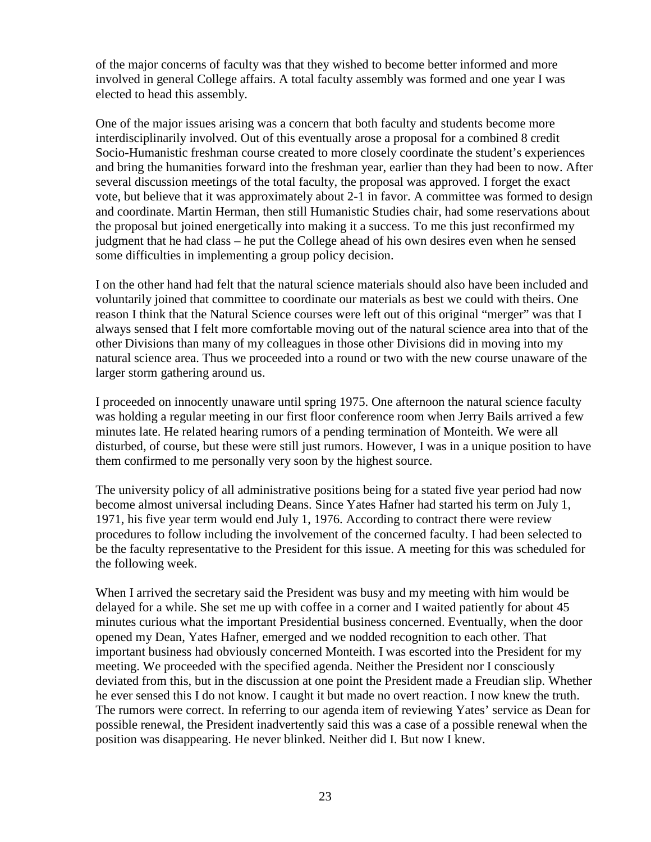of the major concerns of faculty was that they wished to become better informed and more involved in general College affairs. A total faculty assembly was formed and one year I was elected to head this assembly.

One of the major issues arising was a concern that both faculty and students become more interdisciplinarily involved. Out of this eventually arose a proposal for a combined 8 credit Socio-Humanistic freshman course created to more closely coordinate the student's experiences and bring the humanities forward into the freshman year, earlier than they had been to now. After several discussion meetings of the total faculty, the proposal was approved. I forget the exact vote, but believe that it was approximately about 2-1 in favor. A committee was formed to design and coordinate. Martin Herman, then still Humanistic Studies chair, had some reservations about the proposal but joined energetically into making it a success. To me this just reconfirmed my judgment that he had class – he put the College ahead of his own desires even when he sensed some difficulties in implementing a group policy decision.

I on the other hand had felt that the natural science materials should also have been included and voluntarily joined that committee to coordinate our materials as best we could with theirs. One reason I think that the Natural Science courses were left out of this original "merger" was that I always sensed that I felt more comfortable moving out of the natural science area into that of the other Divisions than many of my colleagues in those other Divisions did in moving into my natural science area. Thus we proceeded into a round or two with the new course unaware of the larger storm gathering around us.

I proceeded on innocently unaware until spring 1975. One afternoon the natural science faculty was holding a regular meeting in our first floor conference room when Jerry Bails arrived a few minutes late. He related hearing rumors of a pending termination of Monteith. We were all disturbed, of course, but these were still just rumors. However, I was in a unique position to have them confirmed to me personally very soon by the highest source.

The university policy of all administrative positions being for a stated five year period had now become almost universal including Deans. Since Yates Hafner had started his term on July 1, 1971, his five year term would end July 1, 1976. According to contract there were review procedures to follow including the involvement of the concerned faculty. I had been selected to be the faculty representative to the President for this issue. A meeting for this was scheduled for the following week.

When I arrived the secretary said the President was busy and my meeting with him would be delayed for a while. She set me up with coffee in a corner and I waited patiently for about 45 minutes curious what the important Presidential business concerned. Eventually, when the door opened my Dean, Yates Hafner, emerged and we nodded recognition to each other. That important business had obviously concerned Monteith. I was escorted into the President for my meeting. We proceeded with the specified agenda. Neither the President nor I consciously deviated from this, but in the discussion at one point the President made a Freudian slip. Whether he ever sensed this I do not know. I caught it but made no overt reaction. I now knew the truth. The rumors were correct. In referring to our agenda item of reviewing Yates' service as Dean for possible renewal, the President inadvertently said this was a case of a possible renewal when the position was disappearing. He never blinked. Neither did I. But now I knew.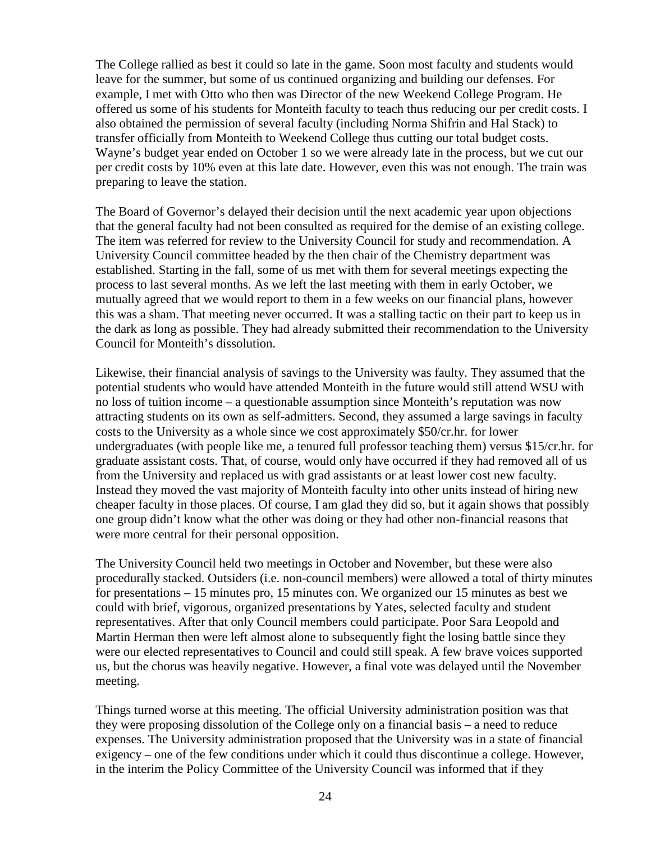The College rallied as best it could so late in the game. Soon most faculty and students would leave for the summer, but some of us continued organizing and building our defenses. For example, I met with Otto who then was Director of the new Weekend College Program. He offered us some of his students for Monteith faculty to teach thus reducing our per credit costs. I also obtained the permission of several faculty (including Norma Shifrin and Hal Stack) to transfer officially from Monteith to Weekend College thus cutting our total budget costs. Wayne's budget year ended on October 1 so we were already late in the process, but we cut our per credit costs by 10% even at this late date. However, even this was not enough. The train was preparing to leave the station.

The Board of Governor's delayed their decision until the next academic year upon objections that the general faculty had not been consulted as required for the demise of an existing college. The item was referred for review to the University Council for study and recommendation. A University Council committee headed by the then chair of the Chemistry department was established. Starting in the fall, some of us met with them for several meetings expecting the process to last several months. As we left the last meeting with them in early October, we mutually agreed that we would report to them in a few weeks on our financial plans, however this was a sham. That meeting never occurred. It was a stalling tactic on their part to keep us in the dark as long as possible. They had already submitted their recommendation to the University Council for Monteith's dissolution.

Likewise, their financial analysis of savings to the University was faulty. They assumed that the potential students who would have attended Monteith in the future would still attend WSU with no loss of tuition income – a questionable assumption since Monteith's reputation was now attracting students on its own as self-admitters. Second, they assumed a large savings in faculty costs to the University as a whole since we cost approximately \$50/cr.hr. for lower undergraduates (with people like me, a tenured full professor teaching them) versus \$15/cr.hr. for graduate assistant costs. That, of course, would only have occurred if they had removed all of us from the University and replaced us with grad assistants or at least lower cost new faculty. Instead they moved the vast majority of Monteith faculty into other units instead of hiring new cheaper faculty in those places. Of course, I am glad they did so, but it again shows that possibly one group didn't know what the other was doing or they had other non-financial reasons that were more central for their personal opposition.

The University Council held two meetings in October and November, but these were also procedurally stacked. Outsiders (i.e. non-council members) were allowed a total of thirty minutes for presentations – 15 minutes pro, 15 minutes con. We organized our 15 minutes as best we could with brief, vigorous, organized presentations by Yates, selected faculty and student representatives. After that only Council members could participate. Poor Sara Leopold and Martin Herman then were left almost alone to subsequently fight the losing battle since they were our elected representatives to Council and could still speak. A few brave voices supported us, but the chorus was heavily negative. However, a final vote was delayed until the November meeting.

Things turned worse at this meeting. The official University administration position was that they were proposing dissolution of the College only on a financial basis – a need to reduce expenses. The University administration proposed that the University was in a state of financial exigency – one of the few conditions under which it could thus discontinue a college. However, in the interim the Policy Committee of the University Council was informed that if they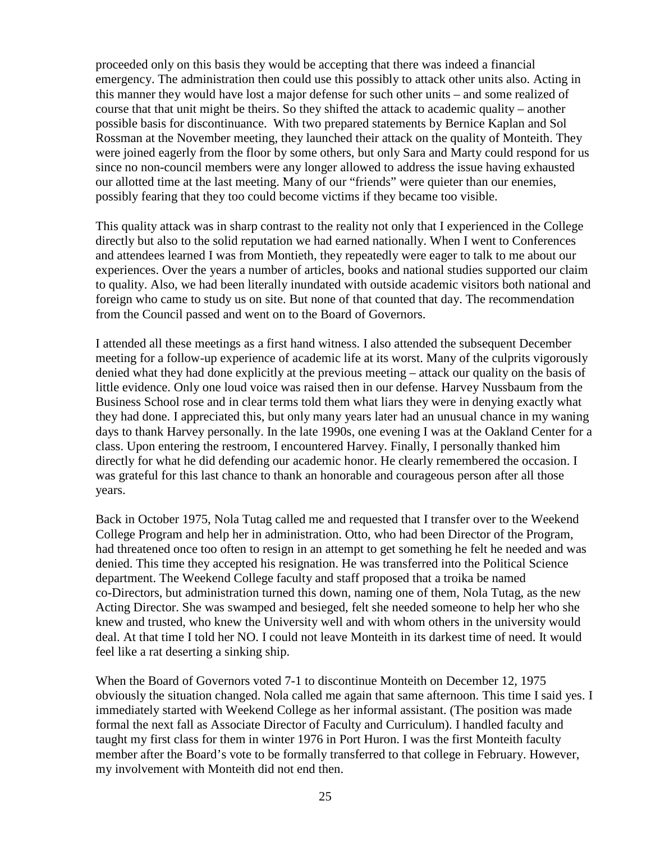proceeded only on this basis they would be accepting that there was indeed a financial emergency. The administration then could use this possibly to attack other units also. Acting in this manner they would have lost a major defense for such other units – and some realized of course that that unit might be theirs. So they shifted the attack to academic quality – another possible basis for discontinuance. With two prepared statements by Bernice Kaplan and Sol Rossman at the November meeting, they launched their attack on the quality of Monteith. They were joined eagerly from the floor by some others, but only Sara and Marty could respond for us since no non-council members were any longer allowed to address the issue having exhausted our allotted time at the last meeting. Many of our "friends" were quieter than our enemies, possibly fearing that they too could become victims if they became too visible.

This quality attack was in sharp contrast to the reality not only that I experienced in the College directly but also to the solid reputation we had earned nationally. When I went to Conferences and attendees learned I was from Montieth, they repeatedly were eager to talk to me about our experiences. Over the years a number of articles, books and national studies supported our claim to quality. Also, we had been literally inundated with outside academic visitors both national and foreign who came to study us on site. But none of that counted that day. The recommendation from the Council passed and went on to the Board of Governors.

I attended all these meetings as a first hand witness. I also attended the subsequent December meeting for a follow-up experience of academic life at its worst. Many of the culprits vigorously denied what they had done explicitly at the previous meeting – attack our quality on the basis of little evidence. Only one loud voice was raised then in our defense. Harvey Nussbaum from the Business School rose and in clear terms told them what liars they were in denying exactly what they had done. I appreciated this, but only many years later had an unusual chance in my waning days to thank Harvey personally. In the late 1990s, one evening I was at the Oakland Center for a class. Upon entering the restroom, I encountered Harvey. Finally, I personally thanked him directly for what he did defending our academic honor. He clearly remembered the occasion. I was grateful for this last chance to thank an honorable and courageous person after all those years.

Back in October 1975, Nola Tutag called me and requested that I transfer over to the Weekend College Program and help her in administration. Otto, who had been Director of the Program, had threatened once too often to resign in an attempt to get something he felt he needed and was denied. This time they accepted his resignation. He was transferred into the Political Science department. The Weekend College faculty and staff proposed that a troika be named co-Directors, but administration turned this down, naming one of them, Nola Tutag, as the new Acting Director. She was swamped and besieged, felt she needed someone to help her who she knew and trusted, who knew the University well and with whom others in the university would deal. At that time I told her NO. I could not leave Monteith in its darkest time of need. It would feel like a rat deserting a sinking ship.

When the Board of Governors voted 7-1 to discontinue Monteith on December 12, 1975 obviously the situation changed. Nola called me again that same afternoon. This time I said yes. I immediately started with Weekend College as her informal assistant. (The position was made formal the next fall as Associate Director of Faculty and Curriculum). I handled faculty and taught my first class for them in winter 1976 in Port Huron. I was the first Monteith faculty member after the Board's vote to be formally transferred to that college in February. However, my involvement with Monteith did not end then.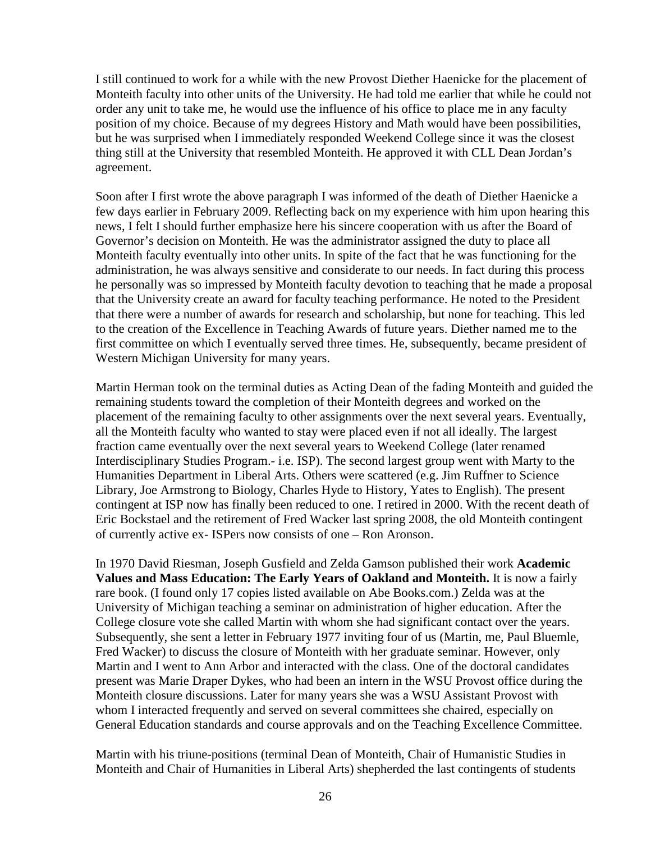I still continued to work for a while with the new Provost Diether Haenicke for the placement of Monteith faculty into other units of the University. He had told me earlier that while he could not order any unit to take me, he would use the influence of his office to place me in any faculty position of my choice. Because of my degrees History and Math would have been possibilities, but he was surprised when I immediately responded Weekend College since it was the closest thing still at the University that resembled Monteith. He approved it with CLL Dean Jordan's agreement.

Soon after I first wrote the above paragraph I was informed of the death of Diether Haenicke a few days earlier in February 2009. Reflecting back on my experience with him upon hearing this news, I felt I should further emphasize here his sincere cooperation with us after the Board of Governor's decision on Monteith. He was the administrator assigned the duty to place all Monteith faculty eventually into other units. In spite of the fact that he was functioning for the administration, he was always sensitive and considerate to our needs. In fact during this process he personally was so impressed by Monteith faculty devotion to teaching that he made a proposal that the University create an award for faculty teaching performance. He noted to the President that there were a number of awards for research and scholarship, but none for teaching. This led to the creation of the Excellence in Teaching Awards of future years. Diether named me to the first committee on which I eventually served three times. He, subsequently, became president of Western Michigan University for many years.

Martin Herman took on the terminal duties as Acting Dean of the fading Monteith and guided the remaining students toward the completion of their Monteith degrees and worked on the placement of the remaining faculty to other assignments over the next several years. Eventually, all the Monteith faculty who wanted to stay were placed even if not all ideally. The largest fraction came eventually over the next several years to Weekend College (later renamed Interdisciplinary Studies Program.- i.e. ISP). The second largest group went with Marty to the Humanities Department in Liberal Arts. Others were scattered (e.g. Jim Ruffner to Science Library, Joe Armstrong to Biology, Charles Hyde to History, Yates to English). The present contingent at ISP now has finally been reduced to one. I retired in 2000. With the recent death of Eric Bockstael and the retirement of Fred Wacker last spring 2008, the old Monteith contingent of currently active ex- ISPers now consists of one – Ron Aronson.

In 1970 David Riesman, Joseph Gusfield and Zelda Gamson published their work **Academic Values and Mass Education: The Early Years of Oakland and Monteith.** It is now a fairly rare book. (I found only 17 copies listed available on Abe Books.com.) Zelda was at the University of Michigan teaching a seminar on administration of higher education. After the College closure vote she called Martin with whom she had significant contact over the years. Subsequently, she sent a letter in February 1977 inviting four of us (Martin, me, Paul Bluemle, Fred Wacker) to discuss the closure of Monteith with her graduate seminar. However, only Martin and I went to Ann Arbor and interacted with the class. One of the doctoral candidates present was Marie Draper Dykes, who had been an intern in the WSU Provost office during the Monteith closure discussions. Later for many years she was a WSU Assistant Provost with whom I interacted frequently and served on several committees she chaired, especially on General Education standards and course approvals and on the Teaching Excellence Committee.

Martin with his triune-positions (terminal Dean of Monteith, Chair of Humanistic Studies in Monteith and Chair of Humanities in Liberal Arts) shepherded the last contingents of students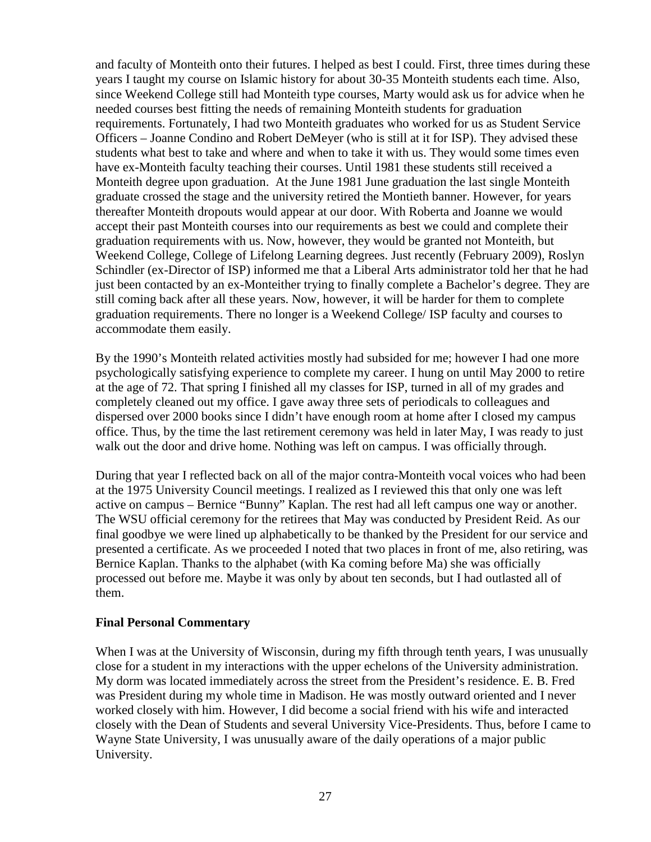and faculty of Monteith onto their futures. I helped as best I could. First, three times during these years I taught my course on Islamic history for about 30-35 Monteith students each time. Also, since Weekend College still had Monteith type courses, Marty would ask us for advice when he needed courses best fitting the needs of remaining Monteith students for graduation requirements. Fortunately, I had two Monteith graduates who worked for us as Student Service Officers – Joanne Condino and Robert DeMeyer (who is still at it for ISP). They advised these students what best to take and where and when to take it with us. They would some times even have ex-Monteith faculty teaching their courses. Until 1981 these students still received a Monteith degree upon graduation. At the June 1981 June graduation the last single Monteith graduate crossed the stage and the university retired the Montieth banner. However, for years thereafter Monteith dropouts would appear at our door. With Roberta and Joanne we would accept their past Monteith courses into our requirements as best we could and complete their graduation requirements with us. Now, however, they would be granted not Monteith, but Weekend College, College of Lifelong Learning degrees. Just recently (February 2009), Roslyn Schindler (ex-Director of ISP) informed me that a Liberal Arts administrator told her that he had just been contacted by an ex-Monteither trying to finally complete a Bachelor's degree. They are still coming back after all these years. Now, however, it will be harder for them to complete graduation requirements. There no longer is a Weekend College/ ISP faculty and courses to accommodate them easily.

By the 1990's Monteith related activities mostly had subsided for me; however I had one more psychologically satisfying experience to complete my career. I hung on until May 2000 to retire at the age of 72. That spring I finished all my classes for ISP, turned in all of my grades and completely cleaned out my office. I gave away three sets of periodicals to colleagues and dispersed over 2000 books since I didn't have enough room at home after I closed my campus office. Thus, by the time the last retirement ceremony was held in later May, I was ready to just walk out the door and drive home. Nothing was left on campus. I was officially through.

During that year I reflected back on all of the major contra-Monteith vocal voices who had been at the 1975 University Council meetings. I realized as I reviewed this that only one was left active on campus – Bernice "Bunny" Kaplan. The rest had all left campus one way or another. The WSU official ceremony for the retirees that May was conducted by President Reid. As our final goodbye we were lined up alphabetically to be thanked by the President for our service and presented a certificate. As we proceeded I noted that two places in front of me, also retiring, was Bernice Kaplan. Thanks to the alphabet (with Ka coming before Ma) she was officially processed out before me. Maybe it was only by about ten seconds, but I had outlasted all of them.

#### **Final Personal Commentary**

When I was at the University of Wisconsin, during my fifth through tenth years, I was unusually close for a student in my interactions with the upper echelons of the University administration. My dorm was located immediately across the street from the President's residence. E. B. Fred was President during my whole time in Madison. He was mostly outward oriented and I never worked closely with him. However, I did become a social friend with his wife and interacted closely with the Dean of Students and several University Vice-Presidents. Thus, before I came to Wayne State University, I was unusually aware of the daily operations of a major public University.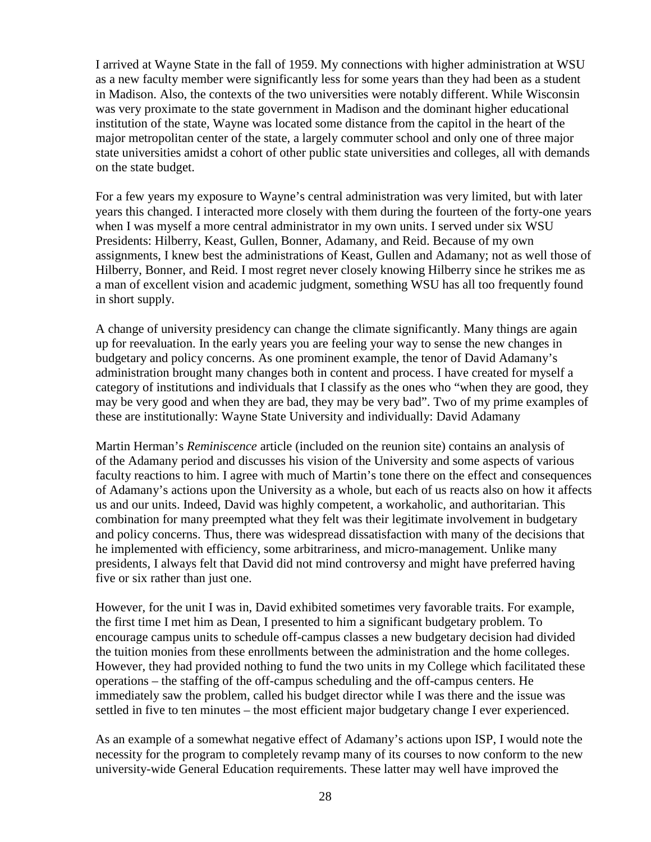I arrived at Wayne State in the fall of 1959. My connections with higher administration at WSU as a new faculty member were significantly less for some years than they had been as a student in Madison. Also, the contexts of the two universities were notably different. While Wisconsin was very proximate to the state government in Madison and the dominant higher educational institution of the state, Wayne was located some distance from the capitol in the heart of the major metropolitan center of the state, a largely commuter school and only one of three major state universities amidst a cohort of other public state universities and colleges, all with demands on the state budget.

For a few years my exposure to Wayne's central administration was very limited, but with later years this changed. I interacted more closely with them during the fourteen of the forty-one years when I was myself a more central administrator in my own units. I served under six WSU Presidents: Hilberry, Keast, Gullen, Bonner, Adamany, and Reid. Because of my own assignments, I knew best the administrations of Keast, Gullen and Adamany; not as well those of Hilberry, Bonner, and Reid. I most regret never closely knowing Hilberry since he strikes me as a man of excellent vision and academic judgment, something WSU has all too frequently found in short supply.

A change of university presidency can change the climate significantly. Many things are again up for reevaluation. In the early years you are feeling your way to sense the new changes in budgetary and policy concerns. As one prominent example, the tenor of David Adamany's administration brought many changes both in content and process. I have created for myself a category of institutions and individuals that I classify as the ones who "when they are good, they may be very good and when they are bad, they may be very bad". Two of my prime examples of these are institutionally: Wayne State University and individually: David Adamany

Martin Herman's *Reminiscence* article (included on the reunion site) contains an analysis of of the Adamany period and discusses his vision of the University and some aspects of various faculty reactions to him. I agree with much of Martin's tone there on the effect and consequences of Adamany's actions upon the University as a whole, but each of us reacts also on how it affects us and our units. Indeed, David was highly competent, a workaholic, and authoritarian. This combination for many preempted what they felt was their legitimate involvement in budgetary and policy concerns. Thus, there was widespread dissatisfaction with many of the decisions that he implemented with efficiency, some arbitrariness, and micro-management. Unlike many presidents, I always felt that David did not mind controversy and might have preferred having five or six rather than just one.

However, for the unit I was in, David exhibited sometimes very favorable traits. For example, the first time I met him as Dean, I presented to him a significant budgetary problem. To encourage campus units to schedule off-campus classes a new budgetary decision had divided the tuition monies from these enrollments between the administration and the home colleges. However, they had provided nothing to fund the two units in my College which facilitated these operations – the staffing of the off-campus scheduling and the off-campus centers. He immediately saw the problem, called his budget director while I was there and the issue was settled in five to ten minutes – the most efficient major budgetary change I ever experienced.

As an example of a somewhat negative effect of Adamany's actions upon ISP, I would note the necessity for the program to completely revamp many of its courses to now conform to the new university-wide General Education requirements. These latter may well have improved the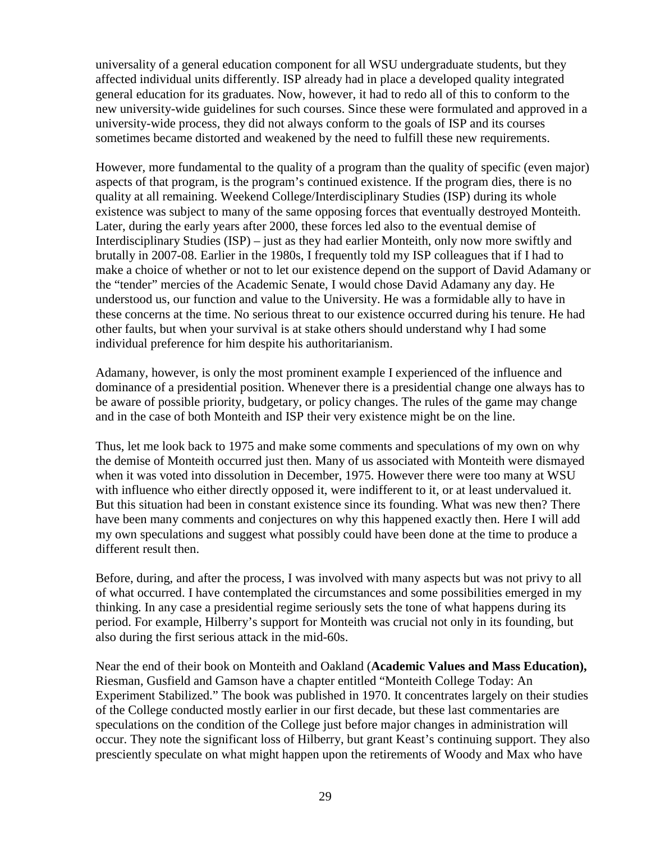universality of a general education component for all WSU undergraduate students, but they affected individual units differently. ISP already had in place a developed quality integrated general education for its graduates. Now, however, it had to redo all of this to conform to the new university-wide guidelines for such courses. Since these were formulated and approved in a university-wide process, they did not always conform to the goals of ISP and its courses sometimes became distorted and weakened by the need to fulfill these new requirements.

However, more fundamental to the quality of a program than the quality of specific (even major) aspects of that program, is the program's continued existence. If the program dies, there is no quality at all remaining. Weekend College/Interdisciplinary Studies (ISP) during its whole existence was subject to many of the same opposing forces that eventually destroyed Monteith. Later, during the early years after 2000, these forces led also to the eventual demise of Interdisciplinary Studies (ISP) – just as they had earlier Monteith, only now more swiftly and brutally in 2007-08. Earlier in the 1980s, I frequently told my ISP colleagues that if I had to make a choice of whether or not to let our existence depend on the support of David Adamany or the "tender" mercies of the Academic Senate, I would chose David Adamany any day. He understood us, our function and value to the University. He was a formidable ally to have in these concerns at the time. No serious threat to our existence occurred during his tenure. He had other faults, but when your survival is at stake others should understand why I had some individual preference for him despite his authoritarianism.

Adamany, however, is only the most prominent example I experienced of the influence and dominance of a presidential position. Whenever there is a presidential change one always has to be aware of possible priority, budgetary, or policy changes. The rules of the game may change and in the case of both Monteith and ISP their very existence might be on the line.

Thus, let me look back to 1975 and make some comments and speculations of my own on why the demise of Monteith occurred just then. Many of us associated with Monteith were dismayed when it was voted into dissolution in December, 1975. However there were too many at WSU with influence who either directly opposed it, were indifferent to it, or at least undervalued it. But this situation had been in constant existence since its founding. What was new then? There have been many comments and conjectures on why this happened exactly then. Here I will add my own speculations and suggest what possibly could have been done at the time to produce a different result then.

Before, during, and after the process, I was involved with many aspects but was not privy to all of what occurred. I have contemplated the circumstances and some possibilities emerged in my thinking. In any case a presidential regime seriously sets the tone of what happens during its period. For example, Hilberry's support for Monteith was crucial not only in its founding, but also during the first serious attack in the mid-60s.

Near the end of their book on Monteith and Oakland (**Academic Values and Mass Education),** Riesman, Gusfield and Gamson have a chapter entitled "Monteith College Today: An Experiment Stabilized." The book was published in 1970. It concentrates largely on their studies of the College conducted mostly earlier in our first decade, but these last commentaries are speculations on the condition of the College just before major changes in administration will occur. They note the significant loss of Hilberry, but grant Keast's continuing support. They also presciently speculate on what might happen upon the retirements of Woody and Max who have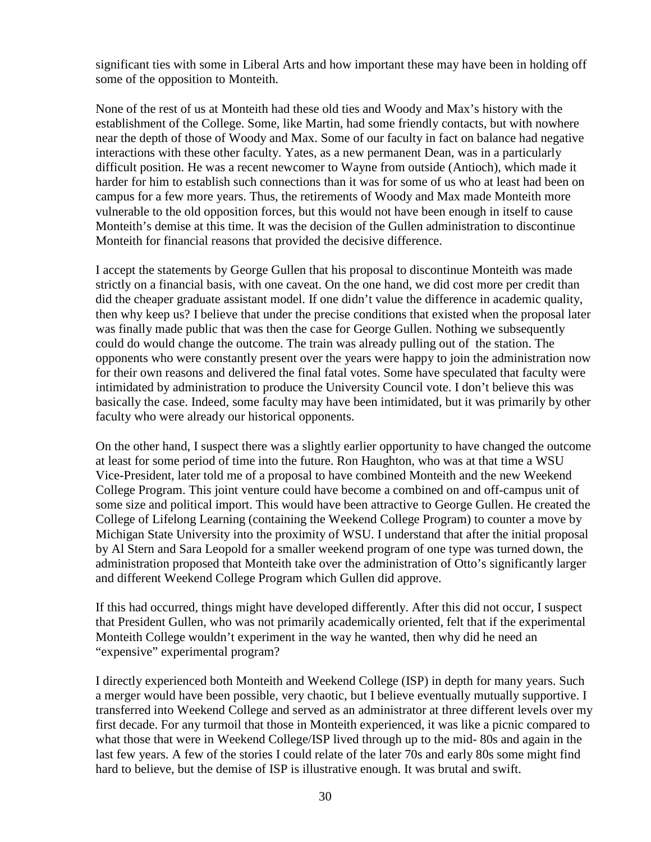significant ties with some in Liberal Arts and how important these may have been in holding off some of the opposition to Monteith.

None of the rest of us at Monteith had these old ties and Woody and Max's history with the establishment of the College. Some, like Martin, had some friendly contacts, but with nowhere near the depth of those of Woody and Max. Some of our faculty in fact on balance had negative interactions with these other faculty. Yates, as a new permanent Dean, was in a particularly difficult position. He was a recent newcomer to Wayne from outside (Antioch), which made it harder for him to establish such connections than it was for some of us who at least had been on campus for a few more years. Thus, the retirements of Woody and Max made Monteith more vulnerable to the old opposition forces, but this would not have been enough in itself to cause Monteith's demise at this time. It was the decision of the Gullen administration to discontinue Monteith for financial reasons that provided the decisive difference.

I accept the statements by George Gullen that his proposal to discontinue Monteith was made strictly on a financial basis, with one caveat. On the one hand, we did cost more per credit than did the cheaper graduate assistant model. If one didn't value the difference in academic quality, then why keep us? I believe that under the precise conditions that existed when the proposal later was finally made public that was then the case for George Gullen. Nothing we subsequently could do would change the outcome. The train was already pulling out of the station. The opponents who were constantly present over the years were happy to join the administration now for their own reasons and delivered the final fatal votes. Some have speculated that faculty were intimidated by administration to produce the University Council vote. I don't believe this was basically the case. Indeed, some faculty may have been intimidated, but it was primarily by other faculty who were already our historical opponents.

On the other hand, I suspect there was a slightly earlier opportunity to have changed the outcome at least for some period of time into the future. Ron Haughton, who was at that time a WSU Vice-President, later told me of a proposal to have combined Monteith and the new Weekend College Program. This joint venture could have become a combined on and off-campus unit of some size and political import. This would have been attractive to George Gullen. He created the College of Lifelong Learning (containing the Weekend College Program) to counter a move by Michigan State University into the proximity of WSU. I understand that after the initial proposal by Al Stern and Sara Leopold for a smaller weekend program of one type was turned down, the administration proposed that Monteith take over the administration of Otto's significantly larger and different Weekend College Program which Gullen did approve.

If this had occurred, things might have developed differently. After this did not occur, I suspect that President Gullen, who was not primarily academically oriented, felt that if the experimental Monteith College wouldn't experiment in the way he wanted, then why did he need an "expensive" experimental program?

I directly experienced both Monteith and Weekend College (ISP) in depth for many years. Such a merger would have been possible, very chaotic, but I believe eventually mutually supportive. I transferred into Weekend College and served as an administrator at three different levels over my first decade. For any turmoil that those in Monteith experienced, it was like a picnic compared to what those that were in Weekend College/ISP lived through up to the mid- 80s and again in the last few years. A few of the stories I could relate of the later 70s and early 80s some might find hard to believe, but the demise of ISP is illustrative enough. It was brutal and swift.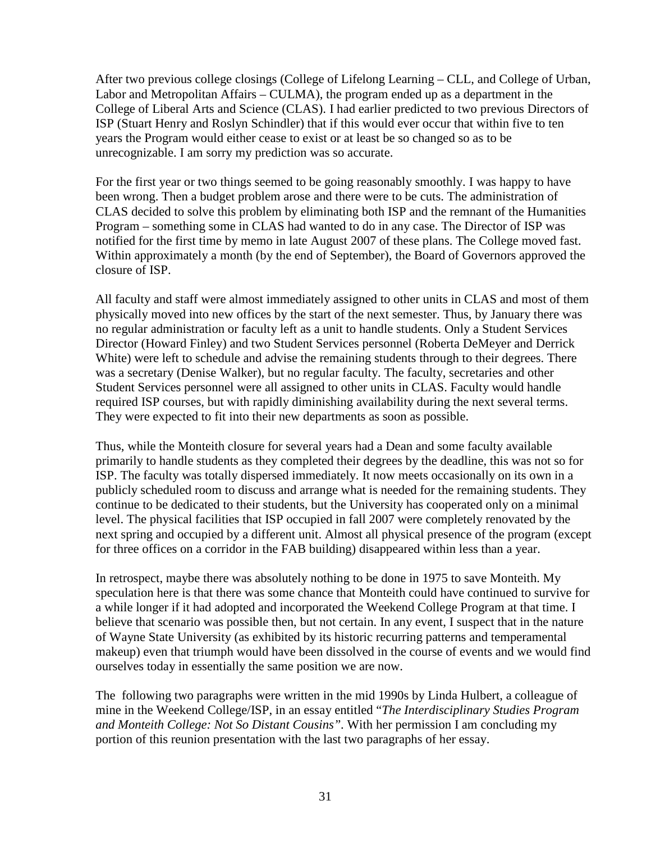After two previous college closings (College of Lifelong Learning – CLL, and College of Urban, Labor and Metropolitan Affairs – CULMA), the program ended up as a department in the College of Liberal Arts and Science (CLAS). I had earlier predicted to two previous Directors of ISP (Stuart Henry and Roslyn Schindler) that if this would ever occur that within five to ten years the Program would either cease to exist or at least be so changed so as to be unrecognizable. I am sorry my prediction was so accurate.

For the first year or two things seemed to be going reasonably smoothly. I was happy to have been wrong. Then a budget problem arose and there were to be cuts. The administration of CLAS decided to solve this problem by eliminating both ISP and the remnant of the Humanities Program – something some in CLAS had wanted to do in any case. The Director of ISP was notified for the first time by memo in late August 2007 of these plans. The College moved fast. Within approximately a month (by the end of September), the Board of Governors approved the closure of ISP.

All faculty and staff were almost immediately assigned to other units in CLAS and most of them physically moved into new offices by the start of the next semester. Thus, by January there was no regular administration or faculty left as a unit to handle students. Only a Student Services Director (Howard Finley) and two Student Services personnel (Roberta DeMeyer and Derrick White) were left to schedule and advise the remaining students through to their degrees. There was a secretary (Denise Walker), but no regular faculty. The faculty, secretaries and other Student Services personnel were all assigned to other units in CLAS. Faculty would handle required ISP courses, but with rapidly diminishing availability during the next several terms. They were expected to fit into their new departments as soon as possible.

Thus, while the Monteith closure for several years had a Dean and some faculty available primarily to handle students as they completed their degrees by the deadline, this was not so for ISP. The faculty was totally dispersed immediately. It now meets occasionally on its own in a publicly scheduled room to discuss and arrange what is needed for the remaining students. They continue to be dedicated to their students, but the University has cooperated only on a minimal level. The physical facilities that ISP occupied in fall 2007 were completely renovated by the next spring and occupied by a different unit. Almost all physical presence of the program (except for three offices on a corridor in the FAB building) disappeared within less than a year.

In retrospect, maybe there was absolutely nothing to be done in 1975 to save Monteith. My speculation here is that there was some chance that Monteith could have continued to survive for a while longer if it had adopted and incorporated the Weekend College Program at that time. I believe that scenario was possible then, but not certain. In any event, I suspect that in the nature of Wayne State University (as exhibited by its historic recurring patterns and temperamental makeup) even that triumph would have been dissolved in the course of events and we would find ourselves today in essentially the same position we are now.

The following two paragraphs were written in the mid 1990s by Linda Hulbert, a colleague of mine in the Weekend College/ISP, in an essay entitled "*The Interdisciplinary Studies Program and Monteith College: Not So Distant Cousins".* With her permission I am concluding my portion of this reunion presentation with the last two paragraphs of her essay.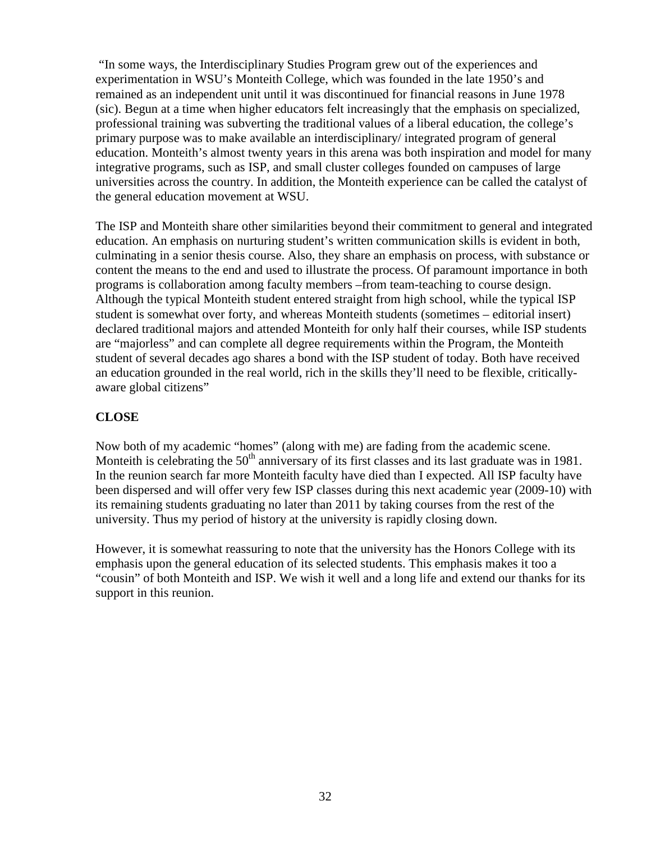"In some ways, the Interdisciplinary Studies Program grew out of the experiences and experimentation in WSU's Monteith College, which was founded in the late 1950's and remained as an independent unit until it was discontinued for financial reasons in June 1978 (sic). Begun at a time when higher educators felt increasingly that the emphasis on specialized, professional training was subverting the traditional values of a liberal education, the college's primary purpose was to make available an interdisciplinary/ integrated program of general education. Monteith's almost twenty years in this arena was both inspiration and model for many integrative programs, such as ISP, and small cluster colleges founded on campuses of large universities across the country. In addition, the Monteith experience can be called the catalyst of the general education movement at WSU.

The ISP and Monteith share other similarities beyond their commitment to general and integrated education. An emphasis on nurturing student's written communication skills is evident in both, culminating in a senior thesis course. Also, they share an emphasis on process, with substance or content the means to the end and used to illustrate the process. Of paramount importance in both programs is collaboration among faculty members –from team-teaching to course design. Although the typical Monteith student entered straight from high school, while the typical ISP student is somewhat over forty, and whereas Monteith students (sometimes – editorial insert) declared traditional majors and attended Monteith for only half their courses, while ISP students are "majorless" and can complete all degree requirements within the Program, the Monteith student of several decades ago shares a bond with the ISP student of today. Both have received an education grounded in the real world, rich in the skills they'll need to be flexible, criticallyaware global citizens"

# **CLOSE**

Now both of my academic "homes" (along with me) are fading from the academic scene. Monteith is celebrating the 50<sup>th</sup> anniversary of its first classes and its last graduate was in 1981. In the reunion search far more Monteith faculty have died than I expected. All ISP faculty have been dispersed and will offer very few ISP classes during this next academic year (2009-10) with its remaining students graduating no later than 2011 by taking courses from the rest of the university. Thus my period of history at the university is rapidly closing down.

However, it is somewhat reassuring to note that the university has the Honors College with its emphasis upon the general education of its selected students. This emphasis makes it too a "cousin" of both Monteith and ISP. We wish it well and a long life and extend our thanks for its support in this reunion.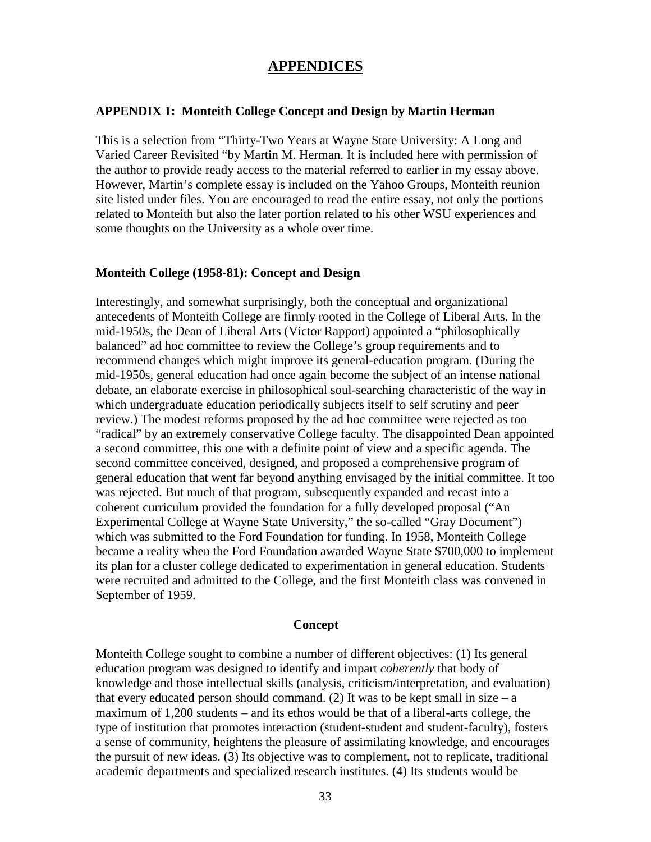# **APPENDICES**

#### **APPENDIX 1: Monteith College Concept and Design by Martin Herman**

This is a selection from "Thirty-Two Years at Wayne State University: A Long and Varied Career Revisited "by Martin M. Herman. It is included here with permission of the author to provide ready access to the material referred to earlier in my essay above. However, Martin's complete essay is included on the Yahoo Groups, Monteith reunion site listed under files. You are encouraged to read the entire essay, not only the portions related to Monteith but also the later portion related to his other WSU experiences and some thoughts on the University as a whole over time.

#### **Monteith College (1958-81): Concept and Design**

Interestingly, and somewhat surprisingly, both the conceptual and organizational antecedents of Monteith College are firmly rooted in the College of Liberal Arts. In the mid-1950s, the Dean of Liberal Arts (Victor Rapport) appointed a "philosophically balanced" ad hoc committee to review the College's group requirements and to recommend changes which might improve its general-education program. (During the mid-1950s, general education had once again become the subject of an intense national debate, an elaborate exercise in philosophical soul-searching characteristic of the way in which undergraduate education periodically subjects itself to self scrutiny and peer review.) The modest reforms proposed by the ad hoc committee were rejected as too "radical" by an extremely conservative College faculty. The disappointed Dean appointed a second committee, this one with a definite point of view and a specific agenda. The second committee conceived, designed, and proposed a comprehensive program of general education that went far beyond anything envisaged by the initial committee. It too was rejected. But much of that program, subsequently expanded and recast into a coherent curriculum provided the foundation for a fully developed proposal ("An Experimental College at Wayne State University," the so-called "Gray Document") which was submitted to the Ford Foundation for funding. In 1958, Monteith College became a reality when the Ford Foundation awarded Wayne State \$700,000 to implement its plan for a cluster college dedicated to experimentation in general education. Students were recruited and admitted to the College, and the first Monteith class was convened in September of 1959.

#### **Concept**

Monteith College sought to combine a number of different objectives: (1) Its general education program was designed to identify and impart *coherently* that body of knowledge and those intellectual skills (analysis, criticism/interpretation, and evaluation) that every educated person should command. (2) It was to be kept small in size – a maximum of 1,200 students – and its ethos would be that of a liberal-arts college, the type of institution that promotes interaction (student-student and student-faculty), fosters a sense of community, heightens the pleasure of assimilating knowledge, and encourages the pursuit of new ideas. (3) Its objective was to complement, not to replicate, traditional academic departments and specialized research institutes. (4) Its students would be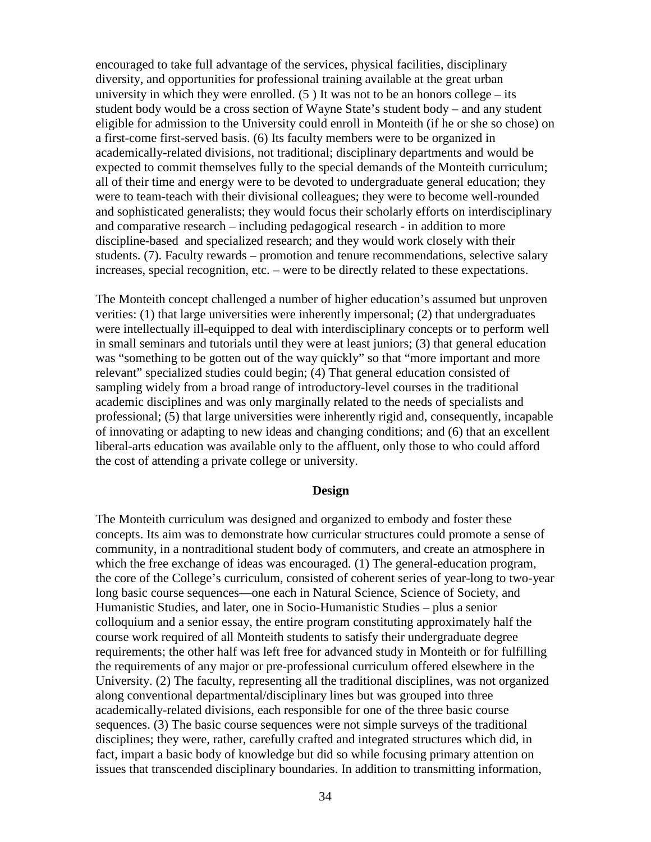encouraged to take full advantage of the services, physical facilities, disciplinary diversity, and opportunities for professional training available at the great urban university in which they were enrolled.  $(5)$  It was not to be an honors college – its student body would be a cross section of Wayne State's student body – and any student eligible for admission to the University could enroll in Monteith (if he or she so chose) on a first-come first-served basis. (6) Its faculty members were to be organized in academically-related divisions, not traditional; disciplinary departments and would be expected to commit themselves fully to the special demands of the Monteith curriculum; all of their time and energy were to be devoted to undergraduate general education; they were to team-teach with their divisional colleagues; they were to become well-rounded and sophisticated generalists; they would focus their scholarly efforts on interdisciplinary and comparative research – including pedagogical research - in addition to more discipline-based and specialized research; and they would work closely with their students. (7). Faculty rewards – promotion and tenure recommendations, selective salary increases, special recognition, etc. – were to be directly related to these expectations.

The Monteith concept challenged a number of higher education's assumed but unproven verities: (1) that large universities were inherently impersonal; (2) that undergraduates were intellectually ill-equipped to deal with interdisciplinary concepts or to perform well in small seminars and tutorials until they were at least juniors; (3) that general education was "something to be gotten out of the way quickly" so that "more important and more relevant" specialized studies could begin; (4) That general education consisted of sampling widely from a broad range of introductory-level courses in the traditional academic disciplines and was only marginally related to the needs of specialists and professional; (5) that large universities were inherently rigid and, consequently, incapable of innovating or adapting to new ideas and changing conditions; and (6) that an excellent liberal-arts education was available only to the affluent, only those to who could afford the cost of attending a private college or university.

#### **Design**

The Monteith curriculum was designed and organized to embody and foster these concepts. Its aim was to demonstrate how curricular structures could promote a sense of community, in a nontraditional student body of commuters, and create an atmosphere in which the free exchange of ideas was encouraged. (1) The general-education program, the core of the College's curriculum, consisted of coherent series of year-long to two-year long basic course sequences—one each in Natural Science, Science of Society, and Humanistic Studies, and later, one in Socio-Humanistic Studies – plus a senior colloquium and a senior essay, the entire program constituting approximately half the course work required of all Monteith students to satisfy their undergraduate degree requirements; the other half was left free for advanced study in Monteith or for fulfilling the requirements of any major or pre-professional curriculum offered elsewhere in the University. (2) The faculty, representing all the traditional disciplines, was not organized along conventional departmental/disciplinary lines but was grouped into three academically-related divisions, each responsible for one of the three basic course sequences. (3) The basic course sequences were not simple surveys of the traditional disciplines; they were, rather, carefully crafted and integrated structures which did, in fact, impart a basic body of knowledge but did so while focusing primary attention on issues that transcended disciplinary boundaries. In addition to transmitting information,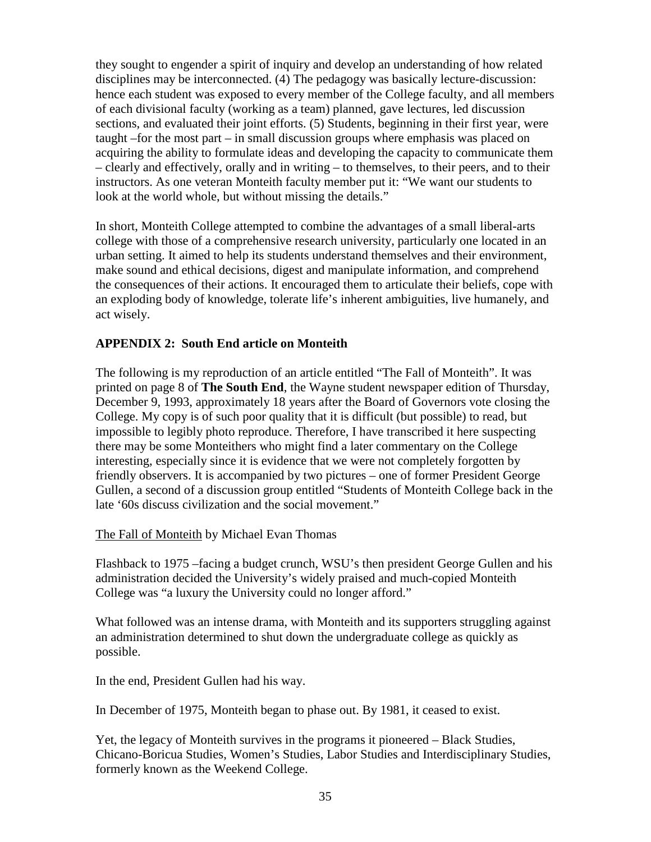they sought to engender a spirit of inquiry and develop an understanding of how related disciplines may be interconnected. (4) The pedagogy was basically lecture-discussion: hence each student was exposed to every member of the College faculty, and all members of each divisional faculty (working as a team) planned, gave lectures, led discussion sections, and evaluated their joint efforts. (5) Students, beginning in their first year, were taught –for the most part – in small discussion groups where emphasis was placed on acquiring the ability to formulate ideas and developing the capacity to communicate them – clearly and effectively, orally and in writing – to themselves, to their peers, and to their instructors. As one veteran Monteith faculty member put it: "We want our students to look at the world whole, but without missing the details."

In short, Monteith College attempted to combine the advantages of a small liberal-arts college with those of a comprehensive research university, particularly one located in an urban setting. It aimed to help its students understand themselves and their environment, make sound and ethical decisions, digest and manipulate information, and comprehend the consequences of their actions. It encouraged them to articulate their beliefs, cope with an exploding body of knowledge, tolerate life's inherent ambiguities, live humanely, and act wisely.

# **APPENDIX 2: South End article on Monteith**

The following is my reproduction of an article entitled "The Fall of Monteith". It was printed on page 8 of **The South End**, the Wayne student newspaper edition of Thursday, December 9, 1993, approximately 18 years after the Board of Governors vote closing the College. My copy is of such poor quality that it is difficult (but possible) to read, but impossible to legibly photo reproduce. Therefore, I have transcribed it here suspecting there may be some Monteithers who might find a later commentary on the College interesting, especially since it is evidence that we were not completely forgotten by friendly observers. It is accompanied by two pictures – one of former President George Gullen, a second of a discussion group entitled "Students of Monteith College back in the late '60s discuss civilization and the social movement."

# The Fall of Monteith by Michael Evan Thomas

Flashback to 1975 –facing a budget crunch, WSU's then president George Gullen and his administration decided the University's widely praised and much-copied Monteith College was "a luxury the University could no longer afford."

What followed was an intense drama, with Monteith and its supporters struggling against an administration determined to shut down the undergraduate college as quickly as possible.

In the end, President Gullen had his way.

In December of 1975, Monteith began to phase out. By 1981, it ceased to exist.

Yet, the legacy of Monteith survives in the programs it pioneered – Black Studies, Chicano-Boricua Studies, Women's Studies, Labor Studies and Interdisciplinary Studies, formerly known as the Weekend College.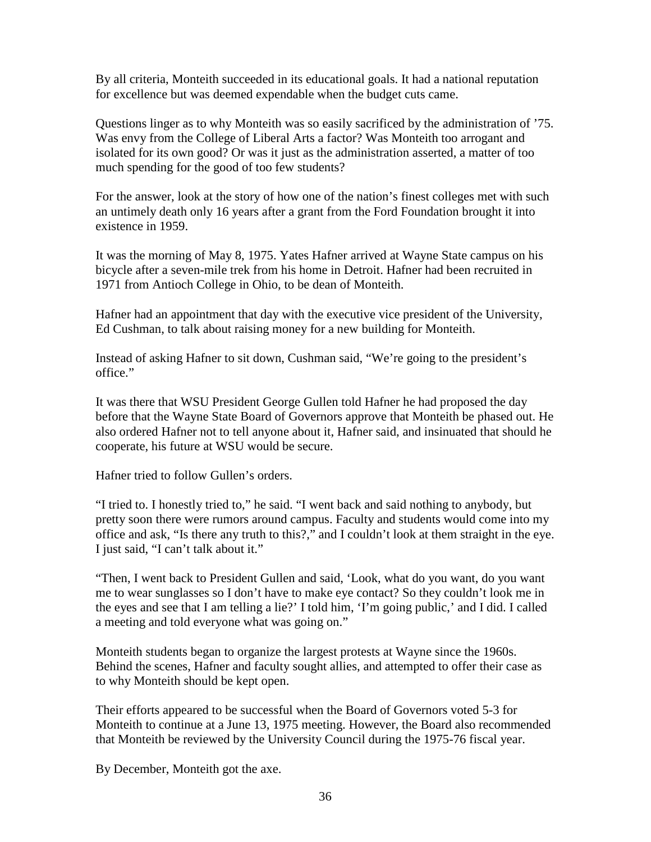By all criteria, Monteith succeeded in its educational goals. It had a national reputation for excellence but was deemed expendable when the budget cuts came.

Questions linger as to why Monteith was so easily sacrificed by the administration of '75. Was envy from the College of Liberal Arts a factor? Was Monteith too arrogant and isolated for its own good? Or was it just as the administration asserted, a matter of too much spending for the good of too few students?

For the answer, look at the story of how one of the nation's finest colleges met with such an untimely death only 16 years after a grant from the Ford Foundation brought it into existence in 1959.

It was the morning of May 8, 1975. Yates Hafner arrived at Wayne State campus on his bicycle after a seven-mile trek from his home in Detroit. Hafner had been recruited in 1971 from Antioch College in Ohio, to be dean of Monteith.

Hafner had an appointment that day with the executive vice president of the University, Ed Cushman, to talk about raising money for a new building for Monteith.

Instead of asking Hafner to sit down, Cushman said, "We're going to the president's office."

It was there that WSU President George Gullen told Hafner he had proposed the day before that the Wayne State Board of Governors approve that Monteith be phased out. He also ordered Hafner not to tell anyone about it, Hafner said, and insinuated that should he cooperate, his future at WSU would be secure.

Hafner tried to follow Gullen's orders.

"I tried to. I honestly tried to," he said. "I went back and said nothing to anybody, but pretty soon there were rumors around campus. Faculty and students would come into my office and ask, "Is there any truth to this?," and I couldn't look at them straight in the eye. I just said, "I can't talk about it."

"Then, I went back to President Gullen and said, 'Look, what do you want, do you want me to wear sunglasses so I don't have to make eye contact? So they couldn't look me in the eyes and see that I am telling a lie?' I told him, 'I'm going public,' and I did. I called a meeting and told everyone what was going on."

Monteith students began to organize the largest protests at Wayne since the 1960s. Behind the scenes, Hafner and faculty sought allies, and attempted to offer their case as to why Monteith should be kept open.

Their efforts appeared to be successful when the Board of Governors voted 5-3 for Monteith to continue at a June 13, 1975 meeting. However, the Board also recommended that Monteith be reviewed by the University Council during the 1975-76 fiscal year.

By December, Monteith got the axe.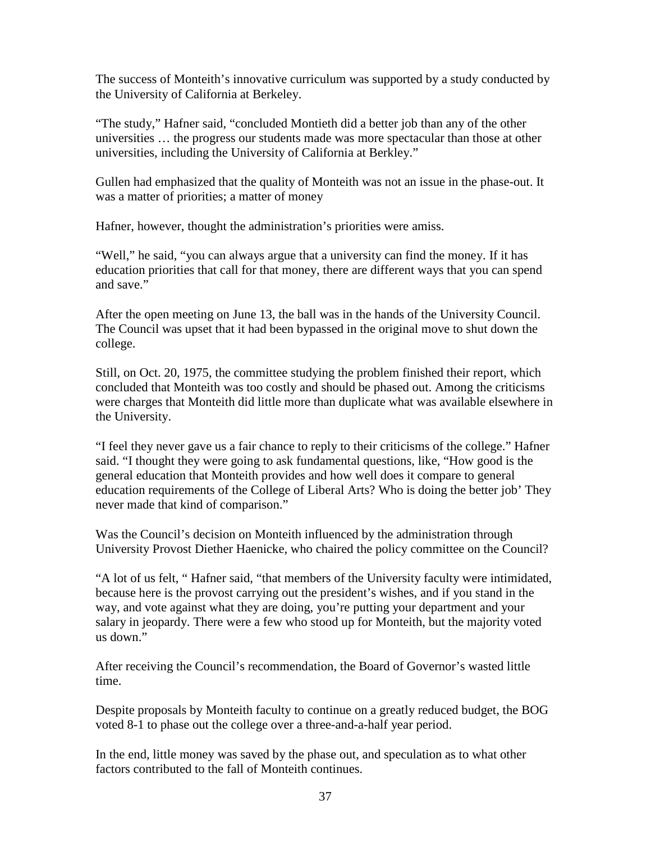The success of Monteith's innovative curriculum was supported by a study conducted by the University of California at Berkeley.

"The study," Hafner said, "concluded Montieth did a better job than any of the other universities … the progress our students made was more spectacular than those at other universities, including the University of California at Berkley."

Gullen had emphasized that the quality of Monteith was not an issue in the phase-out. It was a matter of priorities; a matter of money

Hafner, however, thought the administration's priorities were amiss.

"Well," he said, "you can always argue that a university can find the money. If it has education priorities that call for that money, there are different ways that you can spend and save."

After the open meeting on June 13, the ball was in the hands of the University Council. The Council was upset that it had been bypassed in the original move to shut down the college.

Still, on Oct. 20, 1975, the committee studying the problem finished their report, which concluded that Monteith was too costly and should be phased out. Among the criticisms were charges that Monteith did little more than duplicate what was available elsewhere in the University.

"I feel they never gave us a fair chance to reply to their criticisms of the college." Hafner said. "I thought they were going to ask fundamental questions, like, "How good is the general education that Monteith provides and how well does it compare to general education requirements of the College of Liberal Arts? Who is doing the better job' They never made that kind of comparison."

Was the Council's decision on Monteith influenced by the administration through University Provost Diether Haenicke, who chaired the policy committee on the Council?

"A lot of us felt, " Hafner said, "that members of the University faculty were intimidated, because here is the provost carrying out the president's wishes, and if you stand in the way, and vote against what they are doing, you're putting your department and your salary in jeopardy. There were a few who stood up for Monteith, but the majority voted us down."

After receiving the Council's recommendation, the Board of Governor's wasted little time.

Despite proposals by Monteith faculty to continue on a greatly reduced budget, the BOG voted 8-1 to phase out the college over a three-and-a-half year period.

In the end, little money was saved by the phase out, and speculation as to what other factors contributed to the fall of Monteith continues.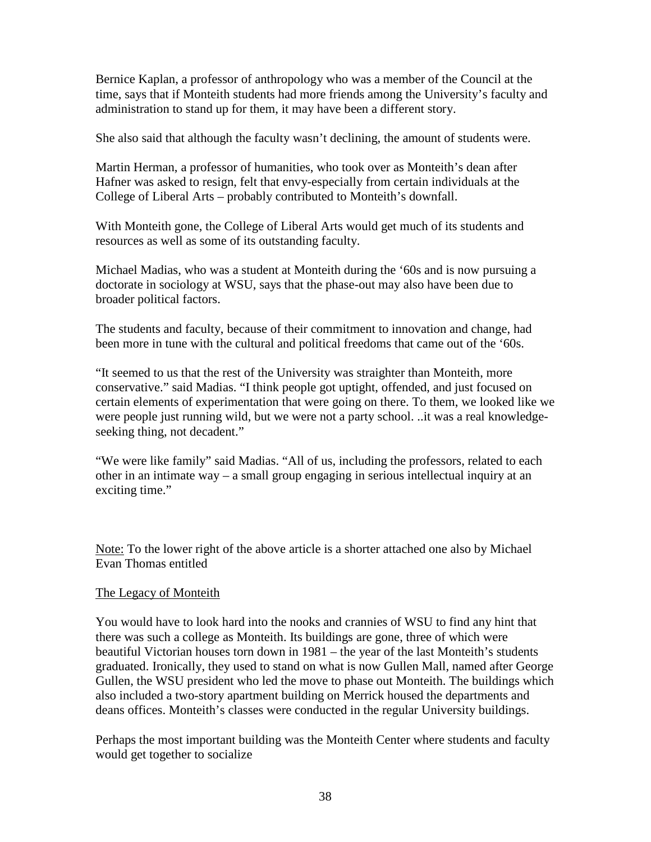Bernice Kaplan, a professor of anthropology who was a member of the Council at the time, says that if Monteith students had more friends among the University's faculty and administration to stand up for them, it may have been a different story.

She also said that although the faculty wasn't declining, the amount of students were.

Martin Herman, a professor of humanities, who took over as Monteith's dean after Hafner was asked to resign, felt that envy-especially from certain individuals at the College of Liberal Arts – probably contributed to Monteith's downfall.

With Monteith gone, the College of Liberal Arts would get much of its students and resources as well as some of its outstanding faculty.

Michael Madias, who was a student at Monteith during the '60s and is now pursuing a doctorate in sociology at WSU, says that the phase-out may also have been due to broader political factors.

The students and faculty, because of their commitment to innovation and change, had been more in tune with the cultural and political freedoms that came out of the '60s.

"It seemed to us that the rest of the University was straighter than Monteith, more conservative." said Madias. "I think people got uptight, offended, and just focused on certain elements of experimentation that were going on there. To them, we looked like we were people just running wild, but we were not a party school. ..it was a real knowledgeseeking thing, not decadent."

"We were like family" said Madias. "All of us, including the professors, related to each other in an intimate way – a small group engaging in serious intellectual inquiry at an exciting time."

Note: To the lower right of the above article is a shorter attached one also by Michael Evan Thomas entitled

#### The Legacy of Monteith

You would have to look hard into the nooks and crannies of WSU to find any hint that there was such a college as Monteith. Its buildings are gone, three of which were beautiful Victorian houses torn down in 1981 – the year of the last Monteith's students graduated. Ironically, they used to stand on what is now Gullen Mall, named after George Gullen, the WSU president who led the move to phase out Monteith. The buildings which also included a two-story apartment building on Merrick housed the departments and deans offices. Monteith's classes were conducted in the regular University buildings.

Perhaps the most important building was the Monteith Center where students and faculty would get together to socialize